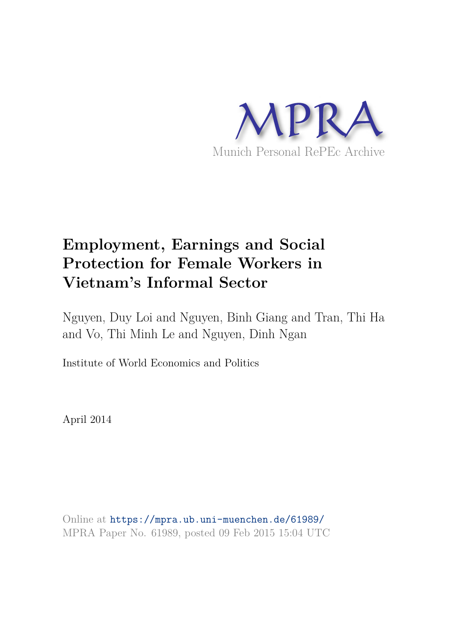

# **Employment, Earnings and Social Protection for Female Workers in Vietnam's Informal Sector**

Nguyen, Duy Loi and Nguyen, Binh Giang and Tran, Thi Ha and Vo, Thi Minh Le and Nguyen, Dinh Ngan

Institute of World Economics and Politics

April 2014

Online at https://mpra.ub.uni-muenchen.de/61989/ MPRA Paper No. 61989, posted 09 Feb 2015 15:04 UTC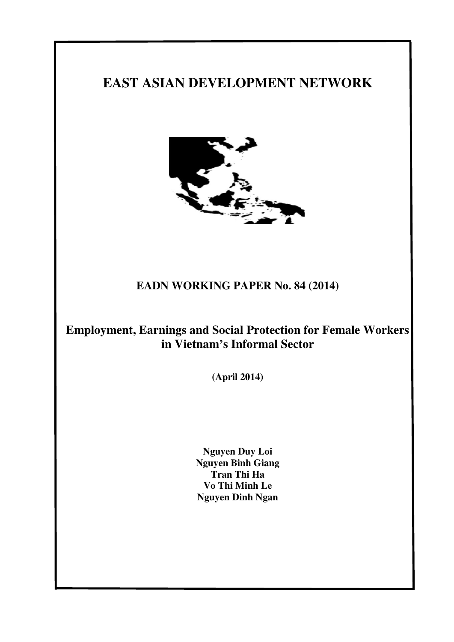## **EAST ASIAN DEVELOPMENT NETWORK**



## **EADN WORKING PAPER No. 84 (2014)**

## **Employment, Earnings and Social Protection for Female Workers in Vietnam's Informal Sector**

**(April 2014)**

**Nguyen Duy Loi Nguyen Binh Giang Tran Thi Ha Vo Thi Minh Le Nguyen Dinh Ngan**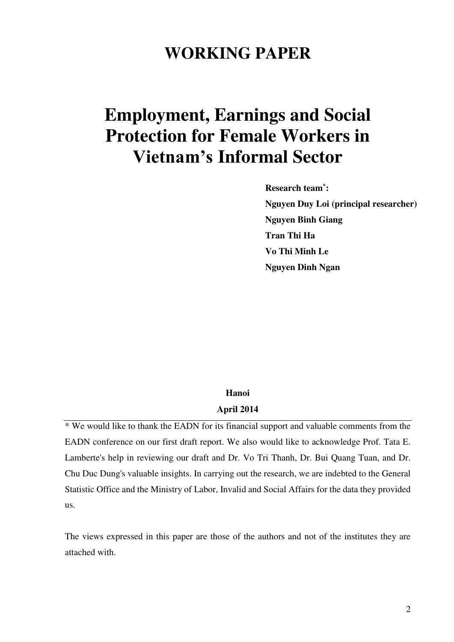# **WORKING PAPER**

# **Employment, Earnings and Social Protection for Female Workers in Vietnam's Informal Sector**

**Research team\* : Nguyen Duy Loi (principal researcher) Nguyen Binh Giang Tran Thi Ha Vo Thi Minh Le Nguyen Dinh Ngan** 

### **Hanoi April 2014**

\* We would like to thank the EADN for its financial support and valuable comments from the EADN conference on our first draft report. We also would like to acknowledge Prof. Tata E. Lamberte's help in reviewing our draft and Dr. Vo Tri Thanh, Dr. Bui Quang Tuan, and Dr. Chu Duc Dung's valuable insights. In carrying out the research, we are indebted to the General Statistic Office and the Ministry of Labor, Invalid and Social Affairs for the data they provided us.

The views expressed in this paper are those of the authors and not of the institutes they are attached with.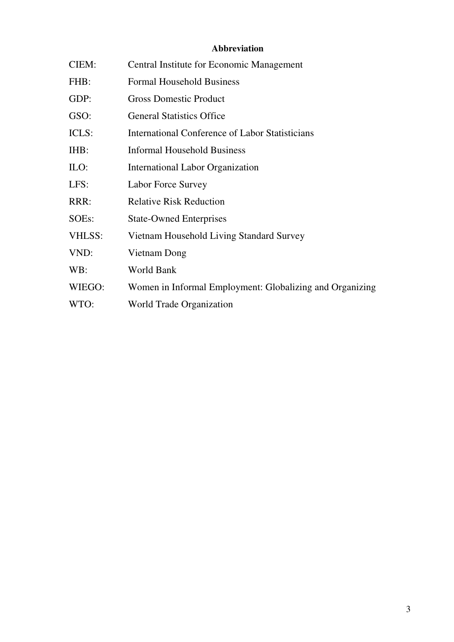## **Abbreviation**

| CIEM:              | <b>Central Institute for Economic Management</b>         |
|--------------------|----------------------------------------------------------|
| FHB:               | <b>Formal Household Business</b>                         |
| GDP:               | <b>Gross Domestic Product</b>                            |
| GSO:               | <b>General Statistics Office</b>                         |
| ICLS:              | International Conference of Labor Statisticians          |
| IHB:               | <b>Informal Household Business</b>                       |
| $\text{ILO}:$      | <b>International Labor Organization</b>                  |
| LFS:               | Labor Force Survey                                       |
| RRR:               | <b>Relative Risk Reduction</b>                           |
| SOE <sub>s</sub> : | <b>State-Owned Enterprises</b>                           |
| VHLSS:             | Vietnam Household Living Standard Survey                 |
| VND:               | Vietnam Dong                                             |
| WB:                | World Bank                                               |
| WIEGO:             | Women in Informal Employment: Globalizing and Organizing |
| WTO:               | World Trade Organization                                 |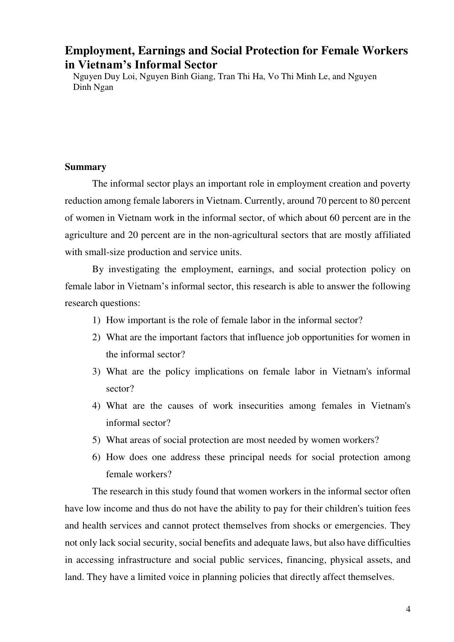## **Employment, Earnings and Social Protection for Female Workers in Vietnam's Informal Sector**

Nguyen Duy Loi, Nguyen Binh Giang, Tran Thi Ha, Vo Thi Minh Le, and Nguyen Dinh Ngan

#### **Summary**

The informal sector plays an important role in employment creation and poverty reduction among female laborers in Vietnam. Currently, around 70 percent to 80 percent of women in Vietnam work in the informal sector, of which about 60 percent are in the agriculture and 20 percent are in the non-agricultural sectors that are mostly affiliated with small-size production and service units.

By investigating the employment, earnings, and social protection policy on female labor in Vietnam's informal sector, this research is able to answer the following research questions:

- 1) How important is the role of female labor in the informal sector?
- 2) What are the important factors that influence job opportunities for women in the informal sector?
- 3) What are the policy implications on female labor in Vietnam's informal sector?
- 4) What are the causes of work insecurities among females in Vietnam's informal sector?
- 5) What areas of social protection are most needed by women workers?
- 6) How does one address these principal needs for social protection among female workers?

The research in this study found that women workers in the informal sector often have low income and thus do not have the ability to pay for their children's tuition fees and health services and cannot protect themselves from shocks or emergencies. They not only lack social security, social benefits and adequate laws, but also have difficulties in accessing infrastructure and social public services, financing, physical assets, and land. They have a limited voice in planning policies that directly affect themselves.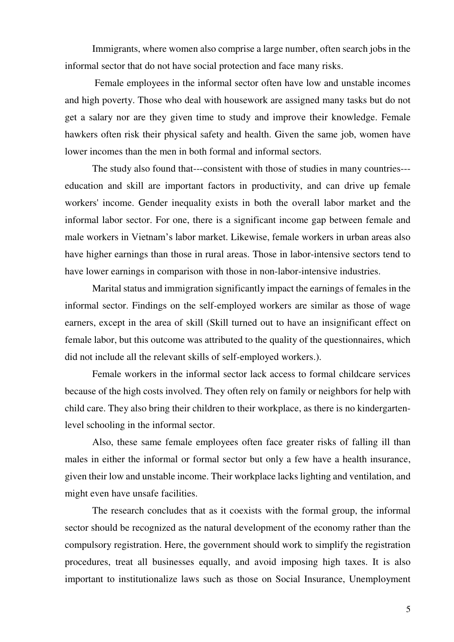Immigrants, where women also comprise a large number, often search jobs in the informal sector that do not have social protection and face many risks.

 Female employees in the informal sector often have low and unstable incomes and high poverty. Those who deal with housework are assigned many tasks but do not get a salary nor are they given time to study and improve their knowledge. Female hawkers often risk their physical safety and health. Given the same job, women have lower incomes than the men in both formal and informal sectors.

The study also found that---consistent with those of studies in many countries-- education and skill are important factors in productivity, and can drive up female workers' income. Gender inequality exists in both the overall labor market and the informal labor sector. For one, there is a significant income gap between female and male workers in Vietnam's labor market. Likewise, female workers in urban areas also have higher earnings than those in rural areas. Those in labor-intensive sectors tend to have lower earnings in comparison with those in non-labor-intensive industries.

Marital status and immigration significantly impact the earnings of females in the informal sector. Findings on the self-employed workers are similar as those of wage earners, except in the area of skill (Skill turned out to have an insignificant effect on female labor, but this outcome was attributed to the quality of the questionnaires, which did not include all the relevant skills of self-employed workers.).

Female workers in the informal sector lack access to formal childcare services because of the high costs involved. They often rely on family or neighbors for help with child care. They also bring their children to their workplace, as there is no kindergartenlevel schooling in the informal sector.

Also, these same female employees often face greater risks of falling ill than males in either the informal or formal sector but only a few have a health insurance, given their low and unstable income. Their workplace lacks lighting and ventilation, and might even have unsafe facilities.

The research concludes that as it coexists with the formal group, the informal sector should be recognized as the natural development of the economy rather than the compulsory registration. Here, the government should work to simplify the registration procedures, treat all businesses equally, and avoid imposing high taxes. It is also important to institutionalize laws such as those on Social Insurance, Unemployment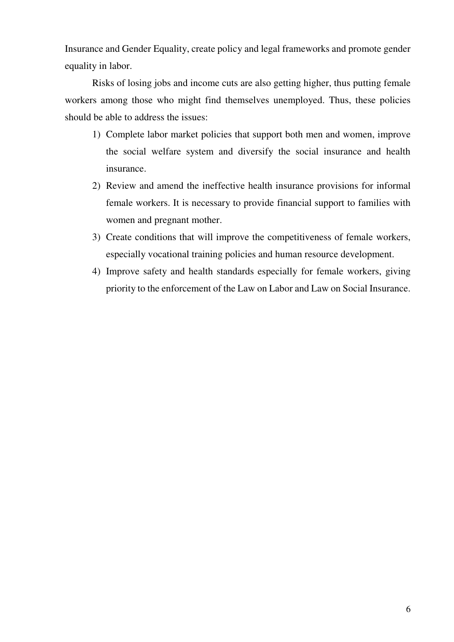Insurance and Gender Equality, create policy and legal frameworks and promote gender equality in labor.

Risks of losing jobs and income cuts are also getting higher, thus putting female workers among those who might find themselves unemployed. Thus, these policies should be able to address the issues:

- 1) Complete labor market policies that support both men and women, improve the social welfare system and diversify the social insurance and health insurance.
- 2) Review and amend the ineffective health insurance provisions for informal female workers. It is necessary to provide financial support to families with women and pregnant mother.
- 3) Create conditions that will improve the competitiveness of female workers, especially vocational training policies and human resource development.
- 4) Improve safety and health standards especially for female workers, giving priority to the enforcement of the Law on Labor and Law on Social Insurance.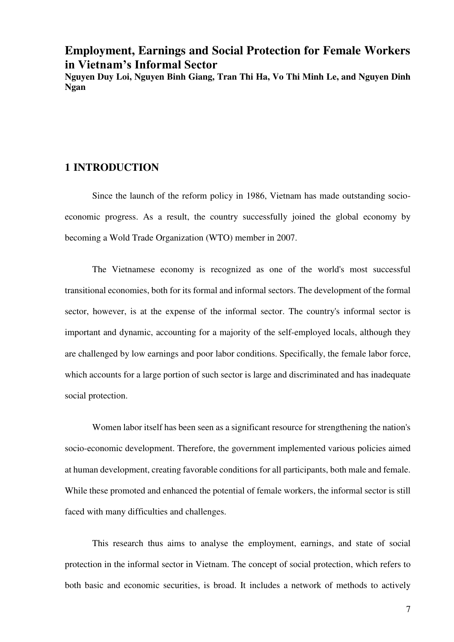## **Employment, Earnings and Social Protection for Female Workers in Vietnam's Informal Sector**

**Nguyen Duy Loi, Nguyen Binh Giang, Tran Thi Ha, Vo Thi Minh Le, and Nguyen Dinh Ngan** 

#### **1 INTRODUCTION**

Since the launch of the reform policy in 1986, Vietnam has made outstanding socioeconomic progress. As a result, the country successfully joined the global economy by becoming a Wold Trade Organization (WTO) member in 2007.

The Vietnamese economy is recognized as one of the world's most successful transitional economies, both for its formal and informal sectors. The development of the formal sector, however, is at the expense of the informal sector. The country's informal sector is important and dynamic, accounting for a majority of the self-employed locals, although they are challenged by low earnings and poor labor conditions. Specifically, the female labor force, which accounts for a large portion of such sector is large and discriminated and has inadequate social protection.

Women labor itself has been seen as a significant resource for strengthening the nation's socio-economic development. Therefore, the government implemented various policies aimed at human development, creating favorable conditions for all participants, both male and female. While these promoted and enhanced the potential of female workers, the informal sector is still faced with many difficulties and challenges.

This research thus aims to analyse the employment, earnings, and state of social protection in the informal sector in Vietnam. The concept of social protection, which refers to both basic and economic securities, is broad. It includes a network of methods to actively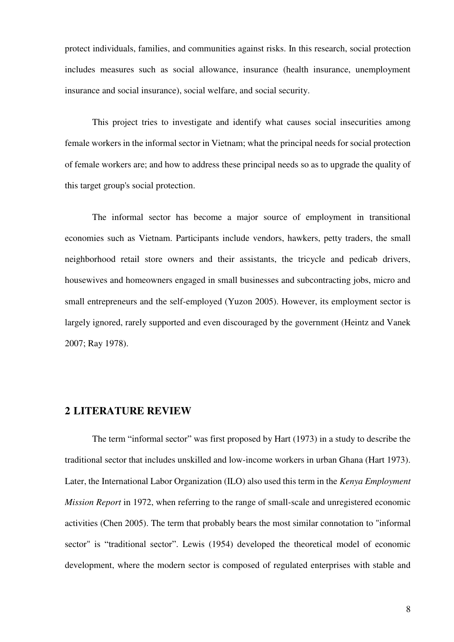protect individuals, families, and communities against risks. In this research, social protection includes measures such as social allowance, insurance (health insurance, unemployment insurance and social insurance), social welfare, and social security.

This project tries to investigate and identify what causes social insecurities among female workers in the informal sector in Vietnam; what the principal needs for social protection of female workers are; and how to address these principal needs so as to upgrade the quality of this target group's social protection.

The informal sector has become a major source of employment in transitional economies such as Vietnam. Participants include vendors, hawkers, petty traders, the small neighborhood retail store owners and their assistants, the tricycle and pedicab drivers, housewives and homeowners engaged in small businesses and subcontracting jobs, micro and small entrepreneurs and the self-employed (Yuzon 2005). However, its employment sector is largely ignored, rarely supported and even discouraged by the government (Heintz and Vanek 2007; Ray 1978).

#### **2 LITERATURE REVIEW**

The term "informal sector" was first proposed by Hart (1973) in a study to describe the traditional sector that includes unskilled and low-income workers in urban Ghana (Hart 1973). Later, the International Labor Organization (ILO) also used this term in the *Kenya Employment Mission Report* in 1972, when referring to the range of small-scale and unregistered economic activities (Chen 2005). The term that probably bears the most similar connotation to "informal sector" is "traditional sector". Lewis (1954) developed the theoretical model of economic development, where the modern sector is composed of regulated enterprises with stable and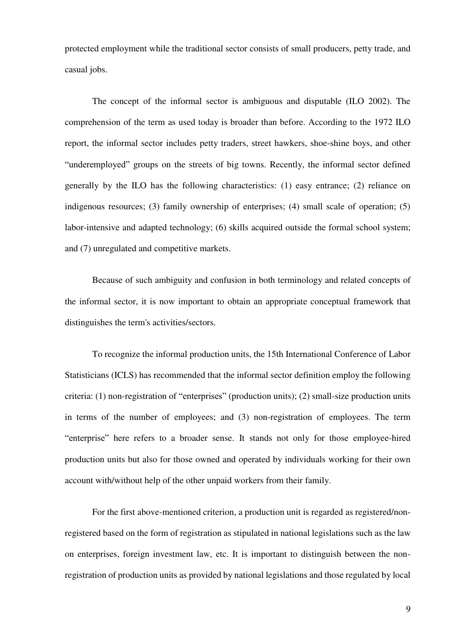protected employment while the traditional sector consists of small producers, petty trade, and casual jobs.

The concept of the informal sector is ambiguous and disputable (ILO 2002). The comprehension of the term as used today is broader than before. According to the 1972 ILO report, the informal sector includes petty traders, street hawkers, shoe-shine boys, and other "underemployed" groups on the streets of big towns. Recently, the informal sector defined generally by the ILO has the following characteristics: (1) easy entrance; (2) reliance on indigenous resources; (3) family ownership of enterprises; (4) small scale of operation; (5) labor-intensive and adapted technology; (6) skills acquired outside the formal school system; and (7) unregulated and competitive markets.

Because of such ambiguity and confusion in both terminology and related concepts of the informal sector, it is now important to obtain an appropriate conceptual framework that distinguishes the term's activities/sectors.

To recognize the informal production units, the 15th International Conference of Labor Statisticians (ICLS) has recommended that the informal sector definition employ the following criteria: (1) non-registration of "enterprises" (production units); (2) small-size production units in terms of the number of employees; and (3) non-registration of employees. The term "enterprise" here refers to a broader sense. It stands not only for those employee-hired production units but also for those owned and operated by individuals working for their own account with/without help of the other unpaid workers from their family.

For the first above-mentioned criterion, a production unit is regarded as registered/nonregistered based on the form of registration as stipulated in national legislations such as the law on enterprises, foreign investment law, etc. It is important to distinguish between the nonregistration of production units as provided by national legislations and those regulated by local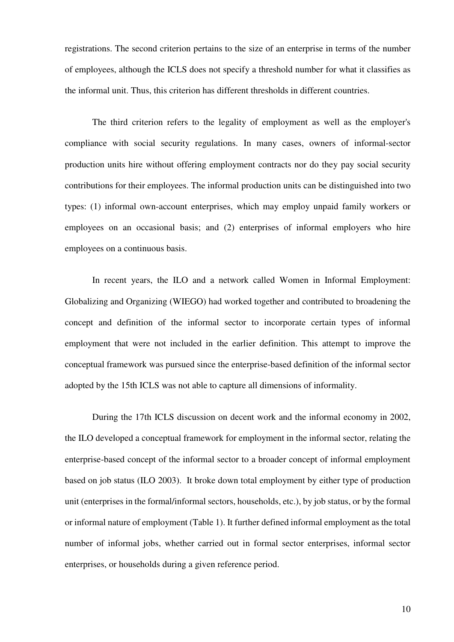registrations. The second criterion pertains to the size of an enterprise in terms of the number of employees, although the ICLS does not specify a threshold number for what it classifies as the informal unit. Thus, this criterion has different thresholds in different countries.

The third criterion refers to the legality of employment as well as the employer's compliance with social security regulations. In many cases, owners of informal-sector production units hire without offering employment contracts nor do they pay social security contributions for their employees. The informal production units can be distinguished into two types: (1) informal own-account enterprises, which may employ unpaid family workers or employees on an occasional basis; and (2) enterprises of informal employers who hire employees on a continuous basis.

In recent years, the ILO and a network called Women in Informal Employment: Globalizing and Organizing (WIEGO) had worked together and contributed to broadening the concept and definition of the informal sector to incorporate certain types of informal employment that were not included in the earlier definition. This attempt to improve the conceptual framework was pursued since the enterprise-based definition of the informal sector adopted by the 15th ICLS was not able to capture all dimensions of informality.

During the 17th ICLS discussion on decent work and the informal economy in 2002, the ILO developed a conceptual framework for employment in the informal sector, relating the enterprise-based concept of the informal sector to a broader concept of informal employment based on job status (ILO 2003). It broke down total employment by either type of production unit (enterprises in the formal/informal sectors, households, etc.), by job status, or by the formal or informal nature of employment (Table 1). It further defined informal employment as the total number of informal jobs, whether carried out in formal sector enterprises, informal sector enterprises, or households during a given reference period.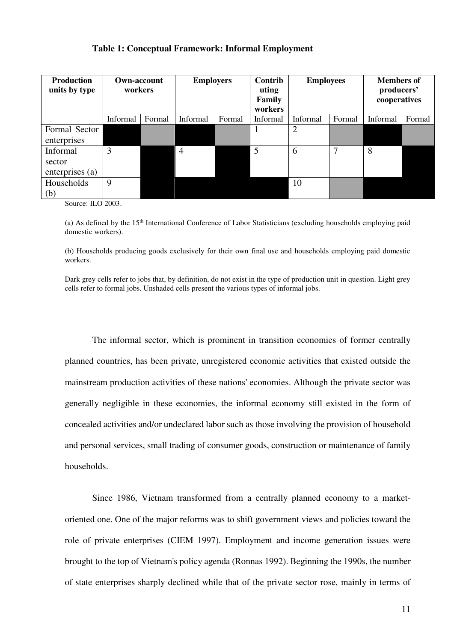| <b>Production</b><br>units by type | <b>Own-account</b><br>workers |        | <b>Employers</b>   |  | Contrib<br>uting<br>Family<br>workers | <b>Employees</b> |        | <b>Members of</b><br>producers'<br>cooperatives |        |
|------------------------------------|-------------------------------|--------|--------------------|--|---------------------------------------|------------------|--------|-------------------------------------------------|--------|
|                                    | Informal                      | Formal | Informal<br>Formal |  | Informal                              | Informal         | Formal | Informal                                        | Formal |
| Formal Sector                      |                               |        |                    |  | $\mathbf{I}$                          | $\overline{2}$   |        |                                                 |        |
| enterprises                        |                               |        |                    |  |                                       |                  |        |                                                 |        |
| Informal                           | 3                             |        | $\overline{4}$     |  | 5                                     | 6                | 7      | 8                                               |        |
| sector                             |                               |        |                    |  |                                       |                  |        |                                                 |        |
| enterprises (a)                    |                               |        |                    |  |                                       |                  |        |                                                 |        |
| Households                         | 9                             |        |                    |  |                                       | 10               |        |                                                 |        |
| (b)                                |                               |        |                    |  |                                       |                  |        |                                                 |        |

#### **Table 1: Conceptual Framework: Informal Employment**

Source: ILO 2003.

(a) As defined by the  $15<sup>th</sup>$  International Conference of Labor Statisticians (excluding households employing paid domestic workers).

(b) Households producing goods exclusively for their own final use and households employing paid domestic workers.

Dark grey cells refer to jobs that, by definition, do not exist in the type of production unit in question. Light grey cells refer to formal jobs. Unshaded cells present the various types of informal jobs.

The informal sector, which is prominent in transition economies of former centrally planned countries, has been private, unregistered economic activities that existed outside the mainstream production activities of these nations' economies. Although the private sector was generally negligible in these economies, the informal economy still existed in the form of concealed activities and/or undeclared labor such as those involving the provision of household and personal services, small trading of consumer goods, construction or maintenance of family households.

Since 1986, Vietnam transformed from a centrally planned economy to a marketoriented one. One of the major reforms was to shift government views and policies toward the role of private enterprises (CIEM 1997). Employment and income generation issues were brought to the top of Vietnam's policy agenda (Ronnas 1992). Beginning the 1990s, the number of state enterprises sharply declined while that of the private sector rose, mainly in terms of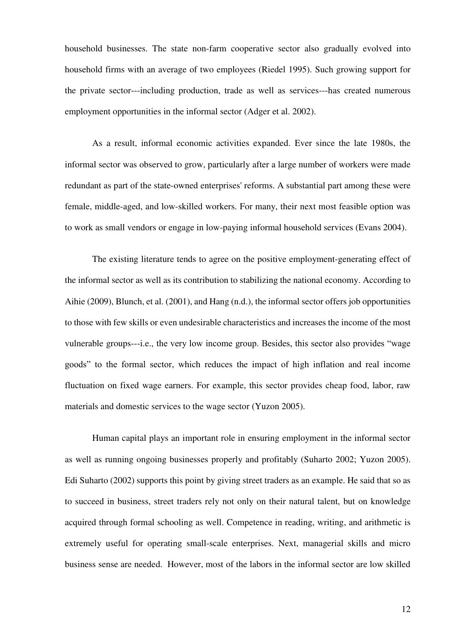household businesses. The state non-farm cooperative sector also gradually evolved into household firms with an average of two employees (Riedel 1995). Such growing support for the private sector---including production, trade as well as services---has created numerous employment opportunities in the informal sector (Adger et al. 2002).

As a result, informal economic activities expanded. Ever since the late 1980s, the informal sector was observed to grow, particularly after a large number of workers were made redundant as part of the state-owned enterprises' reforms. A substantial part among these were female, middle-aged, and low-skilled workers. For many, their next most feasible option was to work as small vendors or engage in low-paying informal household services (Evans 2004).

The existing literature tends to agree on the positive employment-generating effect of the informal sector as well as its contribution to stabilizing the national economy. According to Aihie (2009), Blunch, et al. (2001), and Hang (n.d.), the informal sector offers job opportunities to those with few skills or even undesirable characteristics and increases the income of the most vulnerable groups---i.e., the very low income group. Besides, this sector also provides "wage goods" to the formal sector, which reduces the impact of high inflation and real income fluctuation on fixed wage earners. For example, this sector provides cheap food, labor, raw materials and domestic services to the wage sector (Yuzon 2005).

Human capital plays an important role in ensuring employment in the informal sector as well as running ongoing businesses properly and profitably (Suharto 2002; Yuzon 2005). Edi Suharto (2002) supports this point by giving street traders as an example. He said that so as to succeed in business, street traders rely not only on their natural talent, but on knowledge acquired through formal schooling as well. Competence in reading, writing, and arithmetic is extremely useful for operating small-scale enterprises. Next, managerial skills and micro business sense are needed. However, most of the labors in the informal sector are low skilled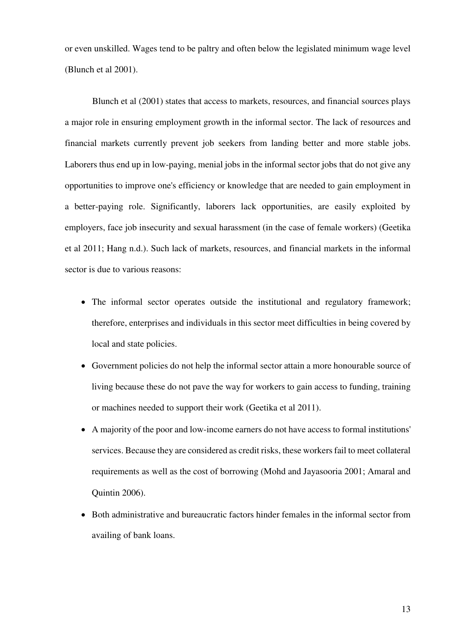or even unskilled. Wages tend to be paltry and often below the legislated minimum wage level (Blunch et al 2001).

Blunch et al (2001) states that access to markets, resources, and financial sources plays a major role in ensuring employment growth in the informal sector. The lack of resources and financial markets currently prevent job seekers from landing better and more stable jobs. Laborers thus end up in low-paying, menial jobs in the informal sector jobs that do not give any opportunities to improve one's efficiency or knowledge that are needed to gain employment in a better-paying role. Significantly, laborers lack opportunities, are easily exploited by employers, face job insecurity and sexual harassment (in the case of female workers) (Geetika et al 2011; Hang n.d.). Such lack of markets, resources, and financial markets in the informal sector is due to various reasons:

- The informal sector operates outside the institutional and regulatory framework; therefore, enterprises and individuals in this sector meet difficulties in being covered by local and state policies.
- Government policies do not help the informal sector attain a more honourable source of living because these do not pave the way for workers to gain access to funding, training or machines needed to support their work (Geetika et al 2011).
- A majority of the poor and low-income earners do not have access to formal institutions' services. Because they are considered as credit risks, these workers fail to meet collateral requirements as well as the cost of borrowing (Mohd and Jayasooria 2001; Amaral and Quintin 2006).
- Both administrative and bureaucratic factors hinder females in the informal sector from availing of bank loans.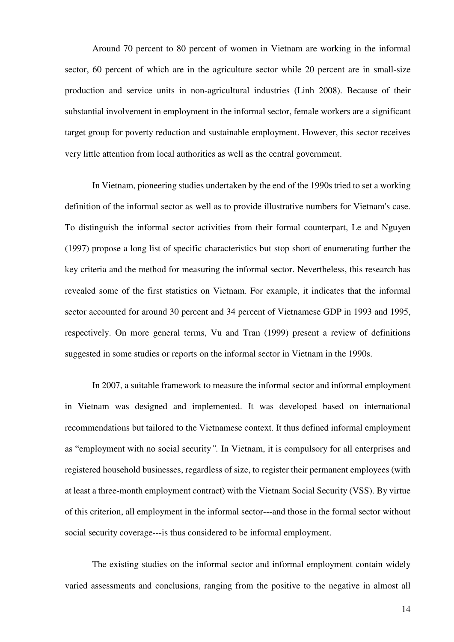Around 70 percent to 80 percent of women in Vietnam are working in the informal sector, 60 percent of which are in the agriculture sector while 20 percent are in small-size production and service units in non-agricultural industries (Linh 2008). Because of their substantial involvement in employment in the informal sector, female workers are a significant target group for poverty reduction and sustainable employment. However, this sector receives very little attention from local authorities as well as the central government.

In Vietnam, pioneering studies undertaken by the end of the 1990s tried to set a working definition of the informal sector as well as to provide illustrative numbers for Vietnam's case. To distinguish the informal sector activities from their formal counterpart, Le and Nguyen (1997) propose a long list of specific characteristics but stop short of enumerating further the key criteria and the method for measuring the informal sector. Nevertheless, this research has revealed some of the first statistics on Vietnam. For example, it indicates that the informal sector accounted for around 30 percent and 34 percent of Vietnamese GDP in 1993 and 1995, respectively. On more general terms, Vu and Tran (1999) present a review of definitions suggested in some studies or reports on the informal sector in Vietnam in the 1990s.

In 2007, a suitable framework to measure the informal sector and informal employment in Vietnam was designed and implemented. It was developed based on international recommendations but tailored to the Vietnamese context. It thus defined informal employment as "employment with no social security*".* In Vietnam, it is compulsory for all enterprises and registered household businesses, regardless of size, to register their permanent employees (with at least a three-month employment contract) with the Vietnam Social Security (VSS). By virtue of this criterion, all employment in the informal sector---and those in the formal sector without social security coverage---is thus considered to be informal employment.

The existing studies on the informal sector and informal employment contain widely varied assessments and conclusions, ranging from the positive to the negative in almost all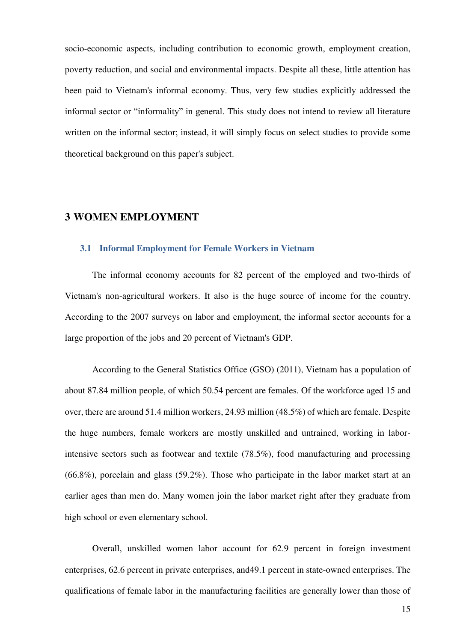socio-economic aspects, including contribution to economic growth, employment creation, poverty reduction, and social and environmental impacts. Despite all these, little attention has been paid to Vietnam's informal economy. Thus, very few studies explicitly addressed the informal sector or "informality" in general. This study does not intend to review all literature written on the informal sector; instead, it will simply focus on select studies to provide some theoretical background on this paper's subject.

#### **3 WOMEN EMPLOYMENT**

#### **3.1 Informal Employment for Female Workers in Vietnam**

The informal economy accounts for 82 percent of the employed and two-thirds of Vietnam's non-agricultural workers. It also is the huge source of income for the country. According to the 2007 surveys on labor and employment, the informal sector accounts for a large proportion of the jobs and 20 percent of Vietnam's GDP.

According to the General Statistics Office (GSO) (2011), Vietnam has a population of about 87.84 million people, of which 50.54 percent are females. Of the workforce aged 15 and over, there are around 51.4 million workers, 24.93 million (48.5%) of which are female. Despite the huge numbers, female workers are mostly unskilled and untrained, working in laborintensive sectors such as footwear and textile (78.5%), food manufacturing and processing (66.8%), porcelain and glass (59.2%). Those who participate in the labor market start at an earlier ages than men do. Many women join the labor market right after they graduate from high school or even elementary school.

Overall, unskilled women labor account for 62.9 percent in foreign investment enterprises, 62.6 percent in private enterprises, and49.1 percent in state-owned enterprises. The qualifications of female labor in the manufacturing facilities are generally lower than those of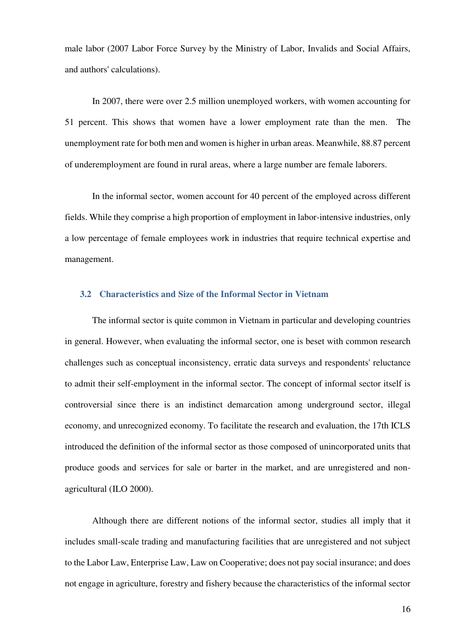male labor (2007 Labor Force Survey by the Ministry of Labor, Invalids and Social Affairs, and authors' calculations).

In 2007, there were over 2.5 million unemployed workers, with women accounting for 51 percent. This shows that women have a lower employment rate than the men. The unemployment rate for both men and women is higher in urban areas. Meanwhile, 88.87 percent of underemployment are found in rural areas, where a large number are female laborers.

In the informal sector, women account for 40 percent of the employed across different fields. While they comprise a high proportion of employment in labor-intensive industries, only a low percentage of female employees work in industries that require technical expertise and management.

#### **3.2 Characteristics and Size of the Informal Sector in Vietnam**

The informal sector is quite common in Vietnam in particular and developing countries in general. However, when evaluating the informal sector, one is beset with common research challenges such as conceptual inconsistency, erratic data surveys and respondents' reluctance to admit their self-employment in the informal sector. The concept of informal sector itself is controversial since there is an indistinct demarcation among underground sector, illegal economy, and unrecognized economy. To facilitate the research and evaluation, the 17th ICLS introduced the definition of the informal sector as those composed of unincorporated units that produce goods and services for sale or barter in the market, and are unregistered and nonagricultural (ILO 2000).

Although there are different notions of the informal sector, studies all imply that it includes small-scale trading and manufacturing facilities that are unregistered and not subject to the Labor Law, Enterprise Law, Law on Cooperative; does not pay social insurance; and does not engage in agriculture, forestry and fishery because the characteristics of the informal sector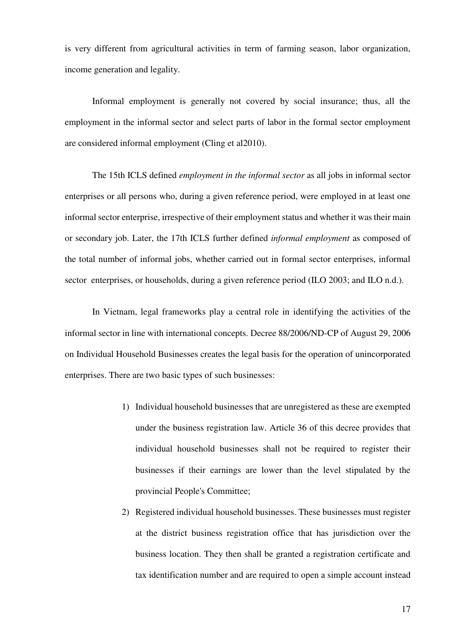is very different from agricultural activities in term of farming season, labor organization, income generation and legality.

Informal employment is generally not covered by social insurance; thus, all the employment in the informal sector and select parts of labor in the formal sector employment are considered informal employment (Cling et al2010).

The 15th ICLS defined *employment in the informal sector* as all jobs in informal sector enterprises or all persons who, during a given reference period, were employed in at least one informal sector enterprise, irrespective of their employment status and whether it was their main or secondary job. Later, the 17th ICLS further defined *informal employment* as composed of the total number of informal jobs, whether carried out in formal sector enterprises, informal sector enterprises, or households, during a given reference period (ILO 2003; and ILO n.d.).

In Vietnam, legal frameworks play a central role in identifying the activities of the informal sector in line with international concepts. Decree 88/2006/ND-CP of August 29, 2006 on Individual Household Businesses creates the legal basis for the operation of unincorporated enterprises. There are two basic types of such businesses:

- 1) Individual household businesses that are unregistered as these are exempted under the business registration law. Article 36 of this decree provides that individual household businesses shall not be required to register their businesses if their earnings are lower than the level stipulated by the provincial People's Committee;
- 2) Registered individual household businesses. These businesses must register at the district business registration office that has jurisdiction over the business location. They then shall be granted a registration certificate and tax identification number and are required to open a simple account instead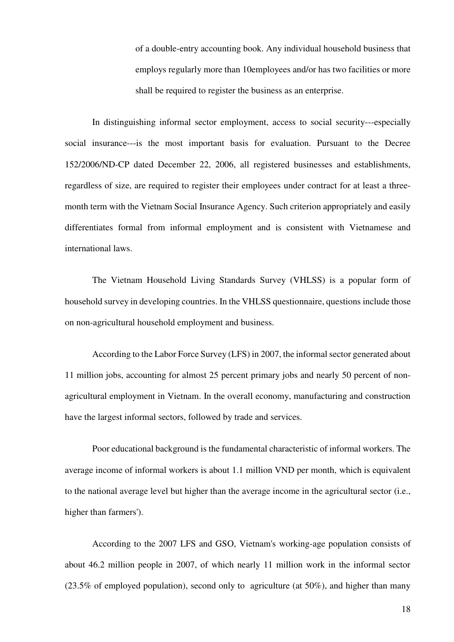of a double-entry accounting book. Any individual household business that employs regularly more than 10employees and/or has two facilities or more shall be required to register the business as an enterprise.

In distinguishing informal sector employment, access to social security---especially social insurance---is the most important basis for evaluation. Pursuant to the Decree 152/2006/ND-CP dated December 22, 2006, all registered businesses and establishments, regardless of size, are required to register their employees under contract for at least a threemonth term with the Vietnam Social Insurance Agency. Such criterion appropriately and easily differentiates formal from informal employment and is consistent with Vietnamese and international laws.

The Vietnam Household Living Standards Survey (VHLSS) is a popular form of household survey in developing countries. In the VHLSS questionnaire, questions include those on non-agricultural household employment and business.

According to the Labor Force Survey (LFS) in 2007, the informal sector generated about 11 million jobs, accounting for almost 25 percent primary jobs and nearly 50 percent of nonagricultural employment in Vietnam. In the overall economy, manufacturing and construction have the largest informal sectors, followed by trade and services.

Poor educational background is the fundamental characteristic of informal workers. The average income of informal workers is about 1.1 million VND per month, which is equivalent to the national average level but higher than the average income in the agricultural sector (i.e., higher than farmers').

According to the 2007 LFS and GSO, Vietnam's working-age population consists of about 46.2 million people in 2007, of which nearly 11 million work in the informal sector (23.5% of employed population), second only to agriculture (at 50%), and higher than many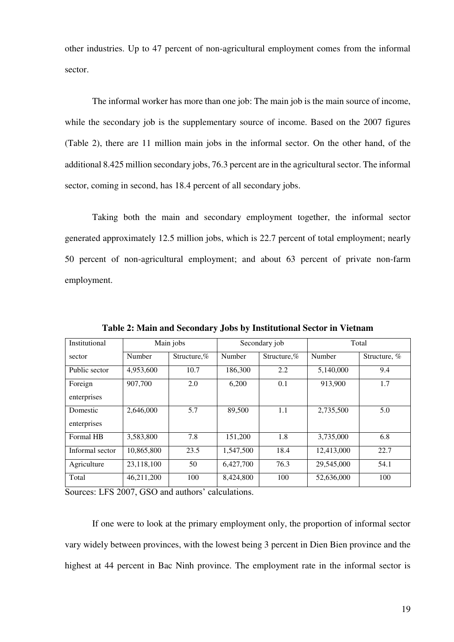other industries. Up to 47 percent of non-agricultural employment comes from the informal sector.

The informal worker has more than one job: The main job is the main source of income, while the secondary job is the supplementary source of income. Based on the 2007 figures (Table 2), there are 11 million main jobs in the informal sector. On the other hand, of the additional 8.425 million secondary jobs, 76.3 percent are in the agricultural sector. The informal sector, coming in second, has 18.4 percent of all secondary jobs.

Taking both the main and secondary employment together, the informal sector generated approximately 12.5 million jobs, which is 22.7 percent of total employment; nearly 50 percent of non-agricultural employment; and about 63 percent of private non-farm employment.

| Institutional           |            | Main jobs      |           | Secondary job  |            | Total        |
|-------------------------|------------|----------------|-----------|----------------|------------|--------------|
| sector                  | Number     | Structure, $%$ | Number    | Structure. $%$ | Number     | Structure, % |
| Public sector           | 4,953,600  | 10.7           | 186,300   | 2.2            | 5,140,000  | 9.4          |
| Foreign<br>enterprises  | 907,700    | 2.0            | 6.200     | 0.1            | 913,900    | 1.7          |
| Domestic<br>enterprises | 2,646,000  | 5.7            | 89,500    | 1.1            | 2,735,500  | 5.0          |
| Formal HB               | 3.583.800  | 7.8            | 151,200   | 1.8            | 3.735,000  | 6.8          |
| Informal sector         | 10,865,800 | 23.5           | 1,547,500 | 18.4           | 12,413,000 | 22.7         |
| Agriculture             | 23,118,100 | 50             | 6,427,700 | 76.3           | 29,545,000 | 54.1         |
| Total                   | 46,211,200 | 100            | 8,424,800 | 100            | 52,636,000 | 100          |

**Table 2: Main and Secondary Jobs by Institutional Sector in Vietnam** 

Sources: LFS 2007, GSO and authors' calculations.

If one were to look at the primary employment only, the proportion of informal sector vary widely between provinces, with the lowest being 3 percent in Dien Bien province and the highest at 44 percent in Bac Ninh province. The employment rate in the informal sector is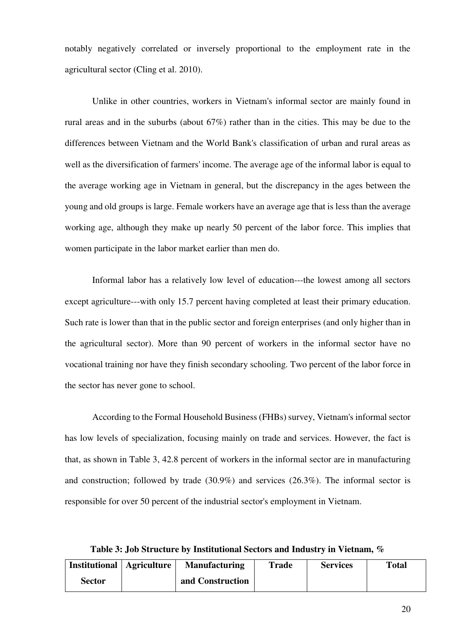notably negatively correlated or inversely proportional to the employment rate in the agricultural sector (Cling et al. 2010).

Unlike in other countries, workers in Vietnam's informal sector are mainly found in rural areas and in the suburbs (about 67%) rather than in the cities. This may be due to the differences between Vietnam and the World Bank's classification of urban and rural areas as well as the diversification of farmers' income. The average age of the informal labor is equal to the average working age in Vietnam in general, but the discrepancy in the ages between the young and old groups is large. Female workers have an average age that is less than the average working age, although they make up nearly 50 percent of the labor force. This implies that women participate in the labor market earlier than men do.

Informal labor has a relatively low level of education---the lowest among all sectors except agriculture---with only 15.7 percent having completed at least their primary education. Such rate is lower than that in the public sector and foreign enterprises (and only higher than in the agricultural sector). More than 90 percent of workers in the informal sector have no vocational training nor have they finish secondary schooling. Two percent of the labor force in the sector has never gone to school.

According to the Formal Household Business (FHBs) survey, Vietnam's informal sector has low levels of specialization, focusing mainly on trade and services. However, the fact is that, as shown in Table 3, 42.8 percent of workers in the informal sector are in manufacturing and construction; followed by trade (30.9%) and services (26.3%). The informal sector is responsible for over 50 percent of the industrial sector's employment in Vietnam.

**Table 3: Job Structure by Institutional Sectors and Industry in Vietnam, %** 

| <b>Institutional</b>   Agriculture | <b>Manufacturing</b> | <b>Trade</b> | <b>Services</b> | <b>Total</b> |
|------------------------------------|----------------------|--------------|-----------------|--------------|
| Sector                             | and Construction     |              |                 |              |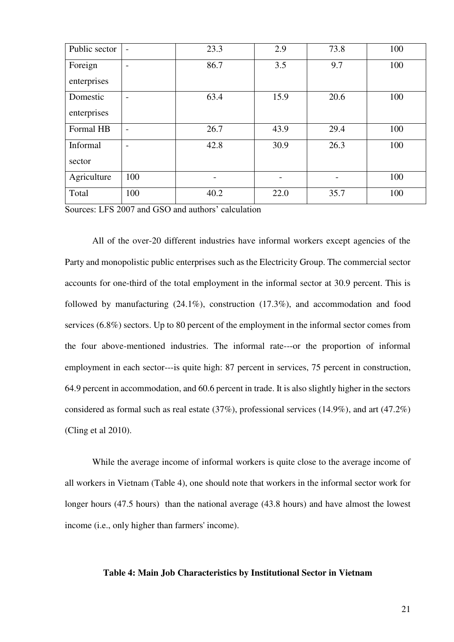| Public sector | $\overline{\phantom{a}}$ | 23.3                     | 2.9  | 73.8                     | 100 |
|---------------|--------------------------|--------------------------|------|--------------------------|-----|
| Foreign       | $\overline{\phantom{0}}$ | 86.7                     | 3.5  | 9.7                      | 100 |
| enterprises   |                          |                          |      |                          |     |
| Domestic      | $\overline{\phantom{0}}$ | 63.4                     | 15.9 | 20.6                     | 100 |
| enterprises   |                          |                          |      |                          |     |
| Formal HB     | $\overline{\phantom{0}}$ | 26.7                     | 43.9 | 29.4                     | 100 |
| Informal      | $\overline{\phantom{0}}$ | 42.8                     | 30.9 | 26.3                     | 100 |
| sector        |                          |                          |      |                          |     |
| Agriculture   | 100                      | $\overline{\phantom{a}}$ |      | $\overline{\phantom{a}}$ | 100 |
| Total         | 100                      | 40.2                     | 22.0 | 35.7                     | 100 |

Sources: LFS 2007 and GSO and authors' calculation

All of the over-20 different industries have informal workers except agencies of the Party and monopolistic public enterprises such as the Electricity Group. The commercial sector accounts for one-third of the total employment in the informal sector at 30.9 percent. This is followed by manufacturing (24.1%), construction (17.3%), and accommodation and food services (6.8%) sectors. Up to 80 percent of the employment in the informal sector comes from the four above-mentioned industries. The informal rate---or the proportion of informal employment in each sector---is quite high: 87 percent in services, 75 percent in construction, 64.9 percent in accommodation, and 60.6 percent in trade. It is also slightly higher in the sectors considered as formal such as real estate (37%), professional services (14.9%), and art (47.2%) (Cling et al 2010).

While the average income of informal workers is quite close to the average income of all workers in Vietnam (Table 4), one should note that workers in the informal sector work for longer hours (47.5 hours) than the national average (43.8 hours) and have almost the lowest income (i.e., only higher than farmers' income).

#### **Table 4: Main Job Characteristics by Institutional Sector in Vietnam**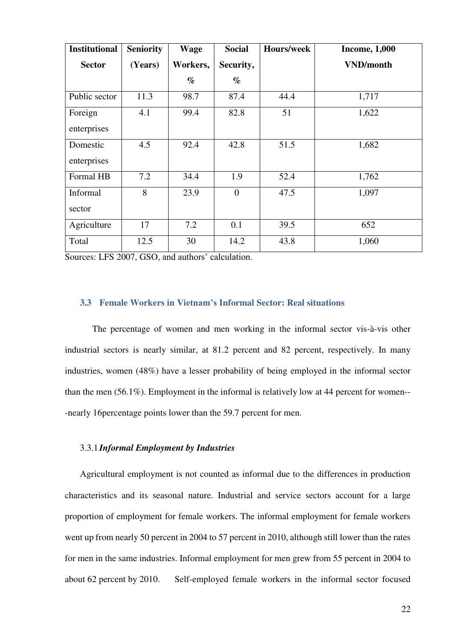| <b>Institutional</b>    | <b>Seniority</b> | <b>Wage</b> | <b>Social</b>  | <b>Hours/week</b> | <b>Income, 1,000</b> |
|-------------------------|------------------|-------------|----------------|-------------------|----------------------|
| <b>Sector</b>           | (Years)          | Workers,    | Security,      |                   | <b>VND/month</b>     |
|                         |                  | $\%$        | $\%$           |                   |                      |
| Public sector           | 11.3             | 98.7        | 87.4           | 44.4              | 1,717                |
| Foreign<br>enterprises  | 4.1              | 99.4        | 82.8           | 51                | 1,622                |
| Domestic<br>enterprises | 4.5              | 92.4        | 42.8           | 51.5              | 1,682                |
| Formal HB               | 7.2              | 34.4        | 1.9            | 52.4              | 1,762                |
| Informal<br>sector      | 8                | 23.9        | $\overline{0}$ | 47.5              | 1,097                |
| Agriculture             | 17               | 7.2         | 0.1            | 39.5              | 652                  |
| Total                   | 12.5             | 30          | 14.2           | 43.8              | 1,060                |

Sources: LFS 2007, GSO, and authors' calculation.

#### **3.3 Female Workers in Vietnam's Informal Sector: Real situations**

The percentage of women and men working in the informal sector vis-à-vis other industrial sectors is nearly similar, at 81.2 percent and 82 percent, respectively. In many industries, women (48%) have a lesser probability of being employed in the informal sector than the men (56.1%). Employment in the informal is relatively low at 44 percent for women-- -nearly 16percentage points lower than the 59.7 percent for men.

#### 3.3.1 *Informal Employment by Industries*

Agricultural employment is not counted as informal due to the differences in production characteristics and its seasonal nature. Industrial and service sectors account for a large proportion of employment for female workers. The informal employment for female workers went up from nearly 50 percent in 2004 to 57 percent in 2010, although still lower than the rates for men in the same industries. Informal employment for men grew from 55 percent in 2004 to about 62 percent by 2010. Self-employed female workers in the informal sector focused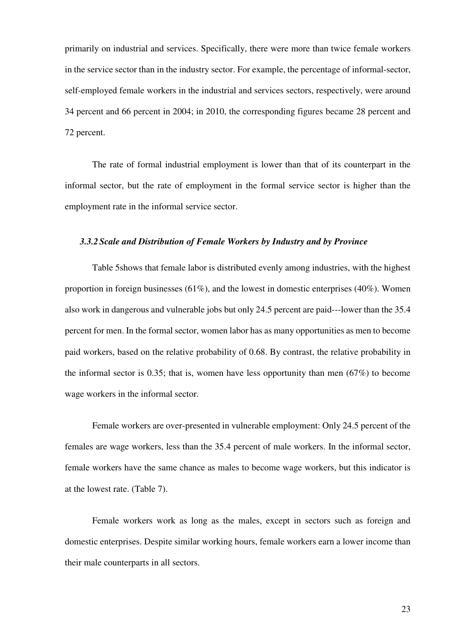primarily on industrial and services. Specifically, there were more than twice female workers in the service sector than in the industry sector. For example, the percentage of informal-sector, self-employed female workers in the industrial and services sectors, respectively, were around 34 percent and 66 percent in 2004; in 2010, the corresponding figures became 28 percent and 72 percent.

The rate of formal industrial employment is lower than that of its counterpart in the informal sector, but the rate of employment in the formal service sector is higher than the employment rate in the informal service sector.

#### *3.3.2Scale and Distribution of Female Workers by Industry and by Province*

Table 5shows that female labor is distributed evenly among industries, with the highest proportion in foreign businesses  $(61\%)$ , and the lowest in domestic enterprises  $(40\%)$ . Women also work in dangerous and vulnerable jobs but only 24.5 percent are paid---lower than the 35.4 percent for men. In the formal sector, women labor has as many opportunities as men to become paid workers, based on the relative probability of 0.68. By contrast, the relative probability in the informal sector is 0.35; that is, women have less opportunity than men (67%) to become wage workers in the informal sector.

Female workers are over-presented in vulnerable employment: Only 24.5 percent of the females are wage workers, less than the 35.4 percent of male workers. In the informal sector, female workers have the same chance as males to become wage workers, but this indicator is at the lowest rate. (Table 7).

Female workers work as long as the males, except in sectors such as foreign and domestic enterprises. Despite similar working hours, female workers earn a lower income than their male counterparts in all sectors.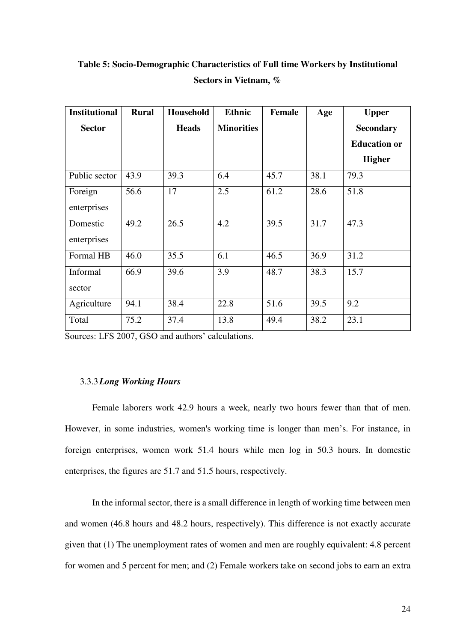| <b>Institutional</b> | <b>Rural</b> | Household    | <b>Ethnic</b>     | <b>Female</b> | Age  | <b>Upper</b>        |
|----------------------|--------------|--------------|-------------------|---------------|------|---------------------|
| <b>Sector</b>        |              | <b>Heads</b> | <b>Minorities</b> |               |      | <b>Secondary</b>    |
|                      |              |              |                   |               |      | <b>Education or</b> |
|                      |              |              |                   |               |      | <b>Higher</b>       |
| Public sector        | 43.9         | 39.3         | 6.4               | 45.7          | 38.1 | 79.3                |
| Foreign              | 56.6         | 17           | 2.5               | 61.2          | 28.6 | 51.8                |
| enterprises          |              |              |                   |               |      |                     |
| Domestic             | 49.2         | 26.5         | 4.2               | 39.5          | 31.7 | 47.3                |
| enterprises          |              |              |                   |               |      |                     |
| Formal HB            | 46.0         | 35.5         | 6.1               | 46.5          | 36.9 | 31.2                |
| Informal             | 66.9         | 39.6         | 3.9               | 48.7          | 38.3 | 15.7                |
| sector               |              |              |                   |               |      |                     |
| Agriculture          | 94.1         | 38.4         | 22.8              | 51.6          | 39.5 | 9.2                 |
| Total                | 75.2         | 37.4         | 13.8              | 49.4          | 38.2 | 23.1                |

**Table 5: Socio-Demographic Characteristics of Full time Workers by Institutional Sectors in Vietnam, %** 

Sources: LFS 2007, GSO and authors' calculations.

#### 3.3.3*Long Working Hours*

Female laborers work 42.9 hours a week, nearly two hours fewer than that of men. However, in some industries, women's working time is longer than men's. For instance, in foreign enterprises, women work 51.4 hours while men log in 50.3 hours. In domestic enterprises, the figures are 51.7 and 51.5 hours, respectively.

In the informal sector, there is a small difference in length of working time between men and women (46.8 hours and 48.2 hours, respectively). This difference is not exactly accurate given that (1) The unemployment rates of women and men are roughly equivalent: 4.8 percent for women and 5 percent for men; and (2) Female workers take on second jobs to earn an extra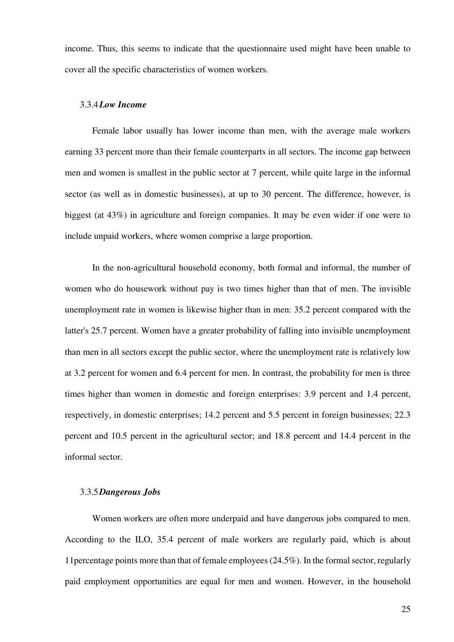income. Thus, this seems to indicate that the questionnaire used might have been unable to cover all the specific characteristics of women workers.

#### 3.3.4*Low Income*

Female labor usually has lower income than men, with the average male workers earning 33 percent more than their female counterparts in all sectors. The income gap between men and women is smallest in the public sector at 7 percent, while quite large in the informal sector (as well as in domestic businesses), at up to 30 percent. The difference, however, is biggest (at 43%) in agriculture and foreign companies. It may be even wider if one were to include unpaid workers, where women comprise a large proportion.

In the non-agricultural household economy, both formal and informal, the number of women who do housework without pay is two times higher than that of men. The invisible unemployment rate in women is likewise higher than in men: 35.2 percent compared with the latter's 25.7 percent. Women have a greater probability of falling into invisible unemployment than men in all sectors except the public sector, where the unemployment rate is relatively low at 3.2 percent for women and 6.4 percent for men. In contrast, the probability for men is three times higher than women in domestic and foreign enterprises: 3.9 percent and 1.4 percent, respectively, in domestic enterprises; 14.2 percent and 5.5 percent in foreign businesses; 22.3 percent and 10.5 percent in the agricultural sector; and 18.8 percent and 14.4 percent in the informal sector.

#### 3.3.5*Dangerous Jobs*

Women workers are often more underpaid and have dangerous jobs compared to men. According to the ILO, 35.4 percent of male workers are regularly paid, which is about 11percentage points more than that of female employees (24.5%). In the formal sector, regularly paid employment opportunities are equal for men and women. However, in the household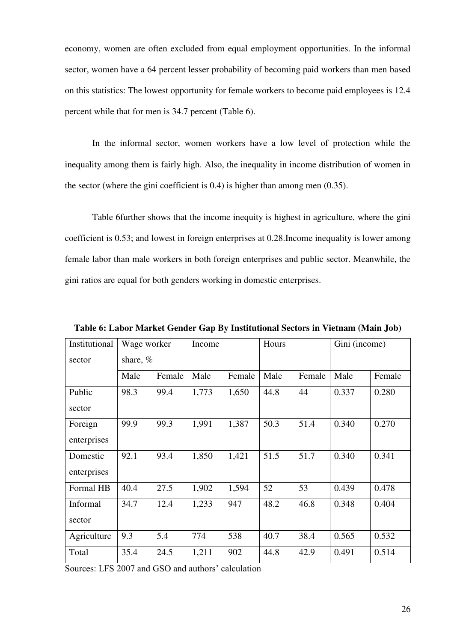economy, women are often excluded from equal employment opportunities. In the informal sector, women have a 64 percent lesser probability of becoming paid workers than men based on this statistics: The lowest opportunity for female workers to become paid employees is 12.4 percent while that for men is 34.7 percent (Table 6).

In the informal sector, women workers have a low level of protection while the inequality among them is fairly high. Also, the inequality in income distribution of women in the sector (where the gini coefficient is 0.4) is higher than among men (0.35).

Table 6further shows that the income inequity is highest in agriculture, where the gini coefficient is 0.53; and lowest in foreign enterprises at 0.28.Income inequality is lower among female labor than male workers in both foreign enterprises and public sector. Meanwhile, the gini ratios are equal for both genders working in domestic enterprises.

| Institutional | Wage worker |        | Income |        |      | Hours  |       | Gini (income) |  |
|---------------|-------------|--------|--------|--------|------|--------|-------|---------------|--|
| sector        | share, %    |        |        |        |      |        |       |               |  |
|               | Male        | Female | Male   | Female | Male | Female | Male  | Female        |  |
| Public        | 98.3        | 99.4   | 1,773  | 1,650  | 44.8 | 44     | 0.337 | 0.280         |  |
| sector        |             |        |        |        |      |        |       |               |  |
| Foreign       | 99.9        | 99.3   | 1,991  | 1,387  | 50.3 | 51.4   | 0.340 | 0.270         |  |
| enterprises   |             |        |        |        |      |        |       |               |  |
| Domestic      | 92.1        | 93.4   | 1,850  | 1,421  | 51.5 | 51.7   | 0.340 | 0.341         |  |
| enterprises   |             |        |        |        |      |        |       |               |  |
| Formal HB     | 40.4        | 27.5   | 1,902  | 1,594  | 52   | 53     | 0.439 | 0.478         |  |
| Informal      | 34.7        | 12.4   | 1,233  | 947    | 48.2 | 46.8   | 0.348 | 0.404         |  |
| sector        |             |        |        |        |      |        |       |               |  |
| Agriculture   | 9.3         | 5.4    | 774    | 538    | 40.7 | 38.4   | 0.565 | 0.532         |  |
| Total         | 35.4        | 24.5   | 1,211  | 902    | 44.8 | 42.9   | 0.491 | 0.514         |  |

**Table 6: Labor Market Gender Gap By Institutional Sectors in Vietnam (Main Job)** 

Sources: LFS 2007 and GSO and authors' calculation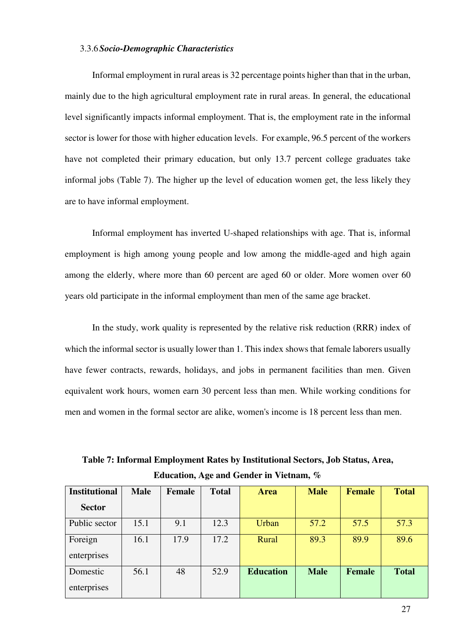#### 3.3.6*Socio-Demographic Characteristics*

Informal employment in rural areas is 32 percentage points higher than that in the urban, mainly due to the high agricultural employment rate in rural areas. In general, the educational level significantly impacts informal employment. That is, the employment rate in the informal sector is lower for those with higher education levels. For example, 96.5 percent of the workers have not completed their primary education, but only 13.7 percent college graduates take informal jobs (Table 7). The higher up the level of education women get, the less likely they are to have informal employment.

Informal employment has inverted U-shaped relationships with age. That is, informal employment is high among young people and low among the middle-aged and high again among the elderly, where more than 60 percent are aged 60 or older. More women over 60 years old participate in the informal employment than men of the same age bracket.

In the study, work quality is represented by the relative risk reduction (RRR) index of which the informal sector is usually lower than 1. This index shows that female laborers usually have fewer contracts, rewards, holidays, and jobs in permanent facilities than men. Given equivalent work hours, women earn 30 percent less than men. While working conditions for men and women in the formal sector are alike, women's income is 18 percent less than men.

| <b>Institutional</b>    | <b>Male</b> | Female | <b>Total</b> | <b>Area</b>      | <b>Male</b> | <b>Female</b> | <b>Total</b> |
|-------------------------|-------------|--------|--------------|------------------|-------------|---------------|--------------|
| <b>Sector</b>           |             |        |              |                  |             |               |              |
| Public sector           | 15.1        | 9.1    | 12.3         | Urban            | 57.2        | 57.5          | 57.3         |
| Foreign<br>enterprises  | 16.1        | 17.9   | 17.2         | Rural            | 89.3        | 89.9          | 89.6         |
| Domestic<br>enterprises | 56.1        | 48     | 52.9         | <b>Education</b> | <b>Male</b> | Female        | <b>Total</b> |

**Table 7: Informal Employment Rates by Institutional Sectors, Job Status, Area, Education, Age and Gender in Vietnam, %**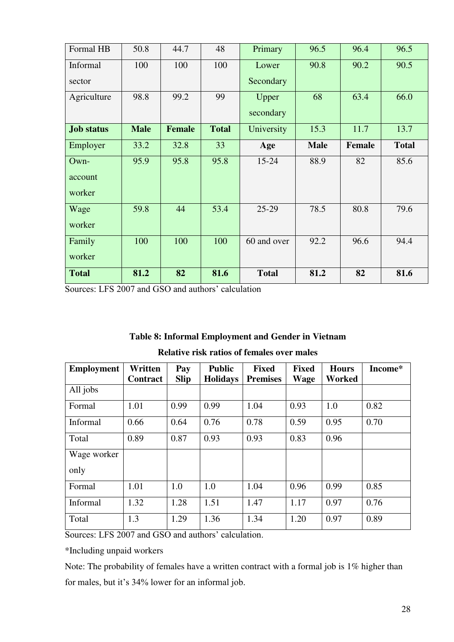| Formal HB         | 50.8        | 44.7          | 48           | Primary      | 96.5        | 96.4          | 96.5         |
|-------------------|-------------|---------------|--------------|--------------|-------------|---------------|--------------|
| Informal          | 100         | 100           | 100          | Lower        | 90.8        | 90.2          | 90.5         |
| sector            |             |               |              | Secondary    |             |               |              |
| Agriculture       | 98.8        | 99.2          | 99           | Upper        | 68          | 63.4          | 66.0         |
|                   |             |               |              | secondary    |             |               |              |
| <b>Job status</b> | <b>Male</b> | <b>Female</b> | <b>Total</b> | University   | 15.3        | 11.7          | 13.7         |
| Employer          | 33.2        | 32.8          | 33           | Age          | <b>Male</b> | <b>Female</b> | <b>Total</b> |
| Own-              | 95.9        | 95.8          | 95.8         | $15 - 24$    | 88.9        | 82            | 85.6         |
| account           |             |               |              |              |             |               |              |
| worker            |             |               |              |              |             |               |              |
| Wage              | 59.8        | 44            | 53.4         | $25-29$      | 78.5        | 80.8          | 79.6         |
| worker            |             |               |              |              |             |               |              |
| Family            | 100         | 100           | 100          | 60 and over  | 92.2        | 96.6          | 94.4         |
| worker            |             |               |              |              |             |               |              |
| <b>Total</b>      | 81.2        | 82            | 81.6         | <b>Total</b> | 81.2        | 82            | 81.6         |

Sources: LFS 2007 and GSO and authors' calculation

#### **Table 8: Informal Employment and Gender in Vietnam**

| <b>Employment</b> | Written<br>Contract | Pay<br><b>Slip</b> | <b>Public</b><br><b>Holidays</b> | <b>Fixed</b><br><b>Premises</b> | <b>Fixed</b><br><b>Wage</b> | <b>Hours</b><br>Worked | Income* |
|-------------------|---------------------|--------------------|----------------------------------|---------------------------------|-----------------------------|------------------------|---------|
| All jobs          |                     |                    |                                  |                                 |                             |                        |         |
| Formal            | 1.01                | 0.99               | 0.99                             | 1.04                            | 0.93                        | 1.0                    | 0.82    |
| Informal          | 0.66                | 0.64               | 0.76                             | 0.78                            | 0.59                        | 0.95                   | 0.70    |
| Total             | 0.89                | 0.87               | 0.93                             | 0.93                            | 0.83                        | 0.96                   |         |
| Wage worker       |                     |                    |                                  |                                 |                             |                        |         |
| only              |                     |                    |                                  |                                 |                             |                        |         |
| Formal            | 1.01                | 1.0                | 1.0                              | 1.04                            | 0.96                        | 0.99                   | 0.85    |
| Informal          | 1.32                | 1.28               | 1.51                             | 1.47                            | 1.17                        | 0.97                   | 0.76    |
| Total             | 1.3                 | 1.29               | 1.36                             | 1.34                            | 1.20                        | 0.97                   | 0.89    |

#### **Relative risk ratios of females over males**

Sources: LFS 2007 and GSO and authors' calculation.

\*Including unpaid workers

Note: The probability of females have a written contract with a formal job is 1% higher than for males, but it's 34% lower for an informal job.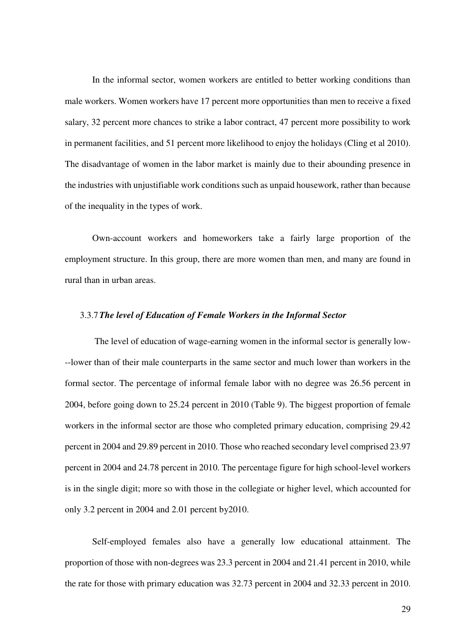In the informal sector, women workers are entitled to better working conditions than male workers. Women workers have 17 percent more opportunities than men to receive a fixed salary, 32 percent more chances to strike a labor contract, 47 percent more possibility to work in permanent facilities, and 51 percent more likelihood to enjoy the holidays (Cling et al 2010). The disadvantage of women in the labor market is mainly due to their abounding presence in the industries with unjustifiable work conditions such as unpaid housework, rather than because of the inequality in the types of work.

Own-account workers and homeworkers take a fairly large proportion of the employment structure. In this group, there are more women than men, and many are found in rural than in urban areas.

#### 3.3.7*The level of Education of Female Workers in the Informal Sector*

 The level of education of wage-earning women in the informal sector is generally low- --lower than of their male counterparts in the same sector and much lower than workers in the formal sector. The percentage of informal female labor with no degree was 26.56 percent in 2004, before going down to 25.24 percent in 2010 (Table 9). The biggest proportion of female workers in the informal sector are those who completed primary education, comprising 29.42 percent in 2004 and 29.89 percent in 2010. Those who reached secondary level comprised 23.97 percent in 2004 and 24.78 percent in 2010. The percentage figure for high school-level workers is in the single digit; more so with those in the collegiate or higher level, which accounted for only 3.2 percent in 2004 and 2.01 percent by2010.

Self-employed females also have a generally low educational attainment. The proportion of those with non-degrees was 23.3 percent in 2004 and 21.41 percent in 2010, while the rate for those with primary education was 32.73 percent in 2004 and 32.33 percent in 2010.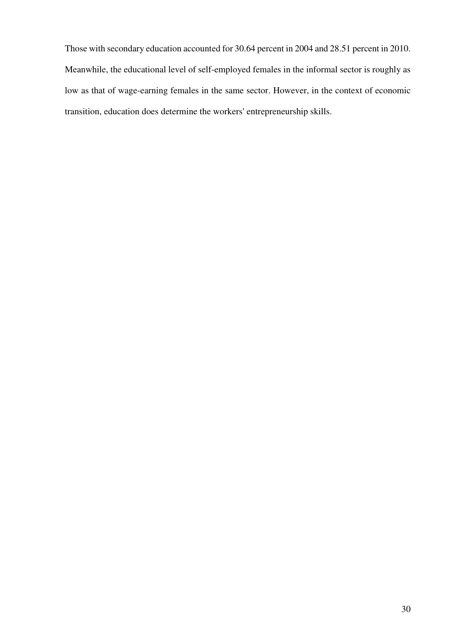Those with secondary education accounted for 30.64 percent in 2004 and 28.51 percent in 2010. Meanwhile, the educational level of self-employed females in the informal sector is roughly as low as that of wage-earning females in the same sector. However, in the context of economic transition, education does determine the workers' entrepreneurship skills.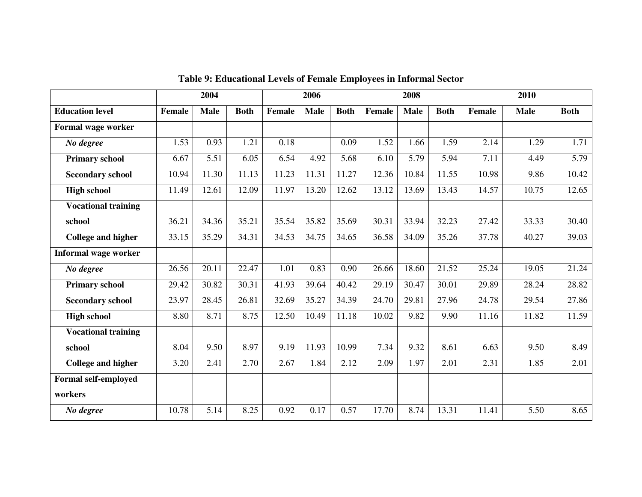|                             |               | 2004        |             |        | 2006        |             |               | 2008        |             |        | 2010        |             |  |
|-----------------------------|---------------|-------------|-------------|--------|-------------|-------------|---------------|-------------|-------------|--------|-------------|-------------|--|
| <b>Education level</b>      | <b>Female</b> | <b>Male</b> | <b>Both</b> | Female | <b>Male</b> | <b>Both</b> | <b>Female</b> | <b>Male</b> | <b>Both</b> | Female | <b>Male</b> | <b>Both</b> |  |
| Formal wage worker          |               |             |             |        |             |             |               |             |             |        |             |             |  |
| No degree                   | 1.53          | 0.93        | 1.21        | 0.18   |             | 0.09        | 1.52          | 1.66        | 1.59        | 2.14   | 1.29        | 1.71        |  |
| <b>Primary school</b>       | 6.67          | 5.51        | 6.05        | 6.54   | 4.92        | 5.68        | 6.10          | 5.79        | 5.94        | 7.11   | 4.49        | 5.79        |  |
| <b>Secondary school</b>     | 10.94         | 11.30       | 11.13       | 11.23  | 11.31       | 11.27       | 12.36         | 10.84       | 11.55       | 10.98  | 9.86        | 10.42       |  |
| <b>High school</b>          | 11.49         | 12.61       | 12.09       | 11.97  | 13.20       | 12.62       | 13.12         | 13.69       | 13.43       | 14.57  | 10.75       | 12.65       |  |
| <b>Vocational training</b>  |               |             |             |        |             |             |               |             |             |        |             |             |  |
| school                      | 36.21         | 34.36       | 35.21       | 35.54  | 35.82       | 35.69       | 30.31         | 33.94       | 32.23       | 27.42  | 33.33       | 30.40       |  |
| <b>College and higher</b>   | 33.15         | 35.29       | 34.31       | 34.53  | 34.75       | 34.65       | 36.58         | 34.09       | 35.26       | 37.78  | 40.27       | 39.03       |  |
| <b>Informal wage worker</b> |               |             |             |        |             |             |               |             |             |        |             |             |  |
| No degree                   | 26.56         | 20.11       | 22.47       | 1.01   | 0.83        | 0.90        | 26.66         | 18.60       | 21.52       | 25.24  | 19.05       | 21.24       |  |
| <b>Primary school</b>       | 29.42         | 30.82       | 30.31       | 41.93  | 39.64       | 40.42       | 29.19         | 30.47       | 30.01       | 29.89  | 28.24       | 28.82       |  |
| <b>Secondary school</b>     | 23.97         | 28.45       | 26.81       | 32.69  | 35.27       | 34.39       | 24.70         | 29.81       | 27.96       | 24.78  | 29.54       | 27.86       |  |
| <b>High school</b>          | 8.80          | 8.71        | 8.75        | 12.50  | 10.49       | 11.18       | 10.02         | 9.82        | 9.90        | 11.16  | 11.82       | 11.59       |  |
| <b>Vocational training</b>  |               |             |             |        |             |             |               |             |             |        |             |             |  |
| school                      | 8.04          | 9.50        | 8.97        | 9.19   | 11.93       | 10.99       | 7.34          | 9.32        | 8.61        | 6.63   | 9.50        | 8.49        |  |
| <b>College and higher</b>   | 3.20          | 2.41        | 2.70        | 2.67   | 1.84        | 2.12        | 2.09          | 1.97        | 2.01        | 2.31   | 1.85        | 2.01        |  |
| <b>Formal self-employed</b> |               |             |             |        |             |             |               |             |             |        |             |             |  |
| workers                     |               |             |             |        |             |             |               |             |             |        |             |             |  |
| No degree                   | 10.78         | 5.14        | 8.25        | 0.92   | 0.17        | 0.57        | 17.70         | 8.74        | 13.31       | 11.41  | 5.50        | 8.65        |  |

**Table 9: Educational Levels of Female Employees in Informal Sector**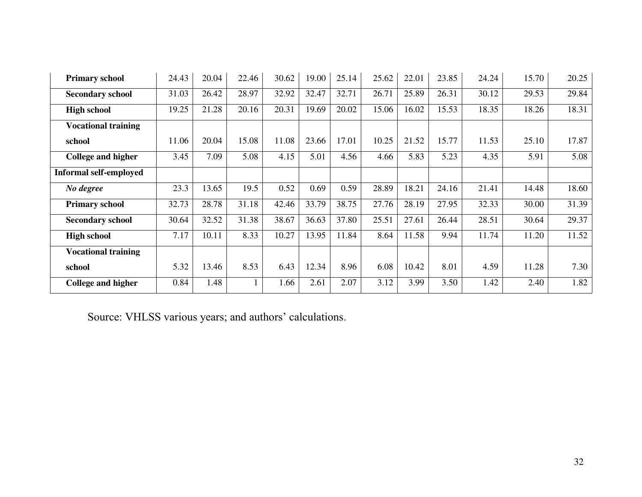| <b>Primary school</b>         | 24.43 | 20.04 | 22.46 | 30.62 | 19.00 | 25.14 | 25.62 | 22.01 | 23.85 | 24.24 | 15.70 | 20.25 |
|-------------------------------|-------|-------|-------|-------|-------|-------|-------|-------|-------|-------|-------|-------|
| <b>Secondary school</b>       | 31.03 | 26.42 | 28.97 | 32.92 | 32.47 | 32.71 | 26.71 | 25.89 | 26.31 | 30.12 | 29.53 | 29.84 |
| <b>High school</b>            | 19.25 | 21.28 | 20.16 | 20.31 | 19.69 | 20.02 | 15.06 | 16.02 | 15.53 | 18.35 | 18.26 | 18.31 |
| <b>Vocational training</b>    |       |       |       |       |       |       |       |       |       |       |       |       |
| school                        | 11.06 | 20.04 | 15.08 | 11.08 | 23.66 | 17.01 | 10.25 | 21.52 | 15.77 | 11.53 | 25.10 | 17.87 |
| College and higher            | 3.45  | 7.09  | 5.08  | 4.15  | 5.01  | 4.56  | 4.66  | 5.83  | 5.23  | 4.35  | 5.91  | 5.08  |
| <b>Informal self-employed</b> |       |       |       |       |       |       |       |       |       |       |       |       |
| No degree                     | 23.3  | 13.65 | 19.5  | 0.52  | 0.69  | 0.59  | 28.89 | 18.21 | 24.16 | 21.41 | 14.48 | 18.60 |
| <b>Primary school</b>         | 32.73 | 28.78 | 31.18 | 42.46 | 33.79 | 38.75 | 27.76 | 28.19 | 27.95 | 32.33 | 30.00 | 31.39 |
| <b>Secondary school</b>       | 30.64 | 32.52 | 31.38 | 38.67 | 36.63 | 37.80 | 25.51 | 27.61 | 26.44 | 28.51 | 30.64 | 29.37 |
| <b>High school</b>            | 7.17  | 10.11 | 8.33  | 10.27 | 13.95 | 11.84 | 8.64  | 11.58 | 9.94  | 11.74 | 11.20 | 11.52 |
| <b>Vocational training</b>    |       |       |       |       |       |       |       |       |       |       |       |       |
| school                        | 5.32  | 13.46 | 8.53  | 6.43  | 12.34 | 8.96  | 6.08  | 10.42 | 8.01  | 4.59  | 11.28 | 7.30  |
| College and higher            | 0.84  | 1.48  |       | 1.66  | 2.61  | 2.07  | 3.12  | 3.99  | 3.50  | 1.42  | 2.40  | 1.82  |

Source: VHLSS various years; and authors' calculations.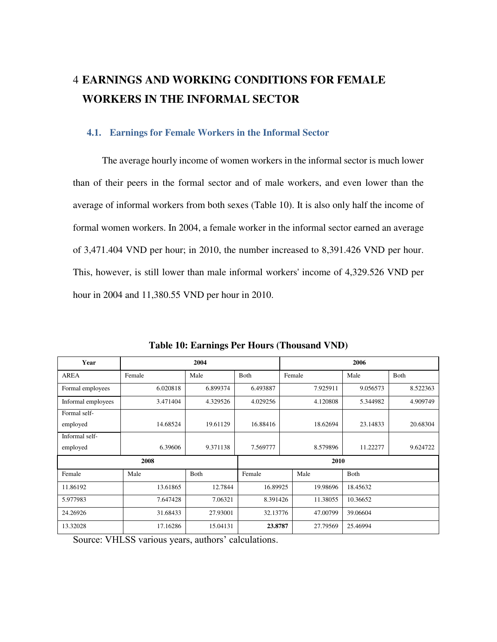## 4 **EARNINGS AND WORKING CONDITIONS FOR FEMALE WORKERS IN THE INFORMAL SECTOR**

#### **4.1. Earnings for Female Workers in the Informal Sector**

The average hourly income of women workers in the informal sector is much lower than of their peers in the formal sector and of male workers, and even lower than the average of informal workers from both sexes (Table 10). It is also only half the income of formal women workers. In 2004, a female worker in the informal sector earned an average of 3,471.404 VND per hour; in 2010, the number increased to 8,391.426 VND per hour. This, however, is still lower than male informal workers' income of 4,329.526 VND per hour in 2004 and 11,380.55 VND per hour in 2010.

| Year               | 2004     |          |          |          | 2006     |          |          |  |  |
|--------------------|----------|----------|----------|----------|----------|----------|----------|--|--|
| <b>AREA</b>        | Female   | Male     | Both     | Female   |          | Male     | Both     |  |  |
| Formal employees   | 6.020818 | 6.899374 | 6.493887 | 7.925911 |          | 9.056573 | 8.522363 |  |  |
| Informal employees | 3.471404 | 4.329526 | 4.029256 |          | 4.120808 | 5.344982 | 4.909749 |  |  |
| Formal self-       |          |          |          |          |          |          |          |  |  |
| employed           | 14.68524 | 19.61129 | 16.88416 |          | 18.62694 | 23.14833 | 20.68304 |  |  |
| Informal self-     |          |          |          |          |          |          |          |  |  |
| employed           | 6.39606  | 9.371138 | 7.569777 | 8.579896 |          | 11.22277 | 9.624722 |  |  |
|                    | 2010     |          |          |          |          |          |          |  |  |
| Female             | Male     | Both     | Female   |          | Male     | Both     |          |  |  |
| 11.86192           | 13.61865 | 12.7844  | 16.89925 |          | 19.98696 | 18.45632 |          |  |  |
| 5.977983           | 7.647428 | 7.06321  | 8.391426 |          | 11.38055 | 10.36652 |          |  |  |
| 24.26926           | 31.68433 | 27.93001 | 32.13776 |          | 47.00799 | 39.06604 |          |  |  |
| 13.32028           | 17.16286 | 15.04131 | 23.8787  |          | 27.79569 | 25.46994 |          |  |  |

**Table 10: Earnings Per Hours (Thousand VND)** 

Source: VHLSS various years, authors' calculations.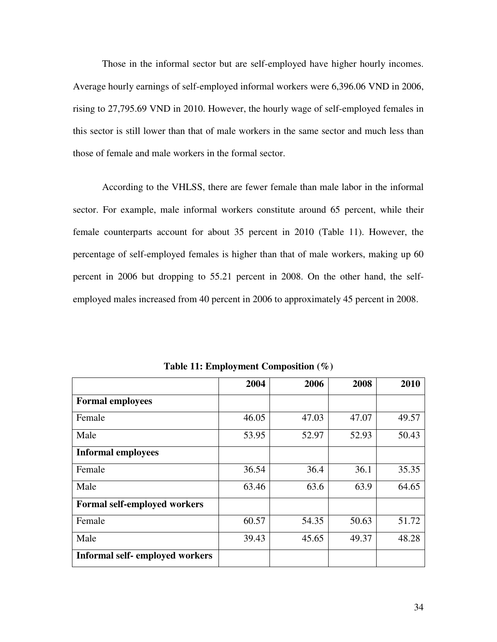Those in the informal sector but are self-employed have higher hourly incomes. Average hourly earnings of self-employed informal workers were 6,396.06 VND in 2006, rising to 27,795.69 VND in 2010. However, the hourly wage of self-employed females in this sector is still lower than that of male workers in the same sector and much less than those of female and male workers in the formal sector.

According to the VHLSS, there are fewer female than male labor in the informal sector. For example, male informal workers constitute around 65 percent, while their female counterparts account for about 35 percent in 2010 (Table 11). However, the percentage of self-employed females is higher than that of male workers, making up 60 percent in 2006 but dropping to 55.21 percent in 2008. On the other hand, the selfemployed males increased from 40 percent in 2006 to approximately 45 percent in 2008.

|                                        | 2004  | 2006  | 2008  | 2010  |
|----------------------------------------|-------|-------|-------|-------|
| <b>Formal employees</b>                |       |       |       |       |
| Female                                 | 46.05 | 47.03 | 47.07 | 49.57 |
| Male                                   | 53.95 | 52.97 | 52.93 | 50.43 |
| <b>Informal employees</b>              |       |       |       |       |
| Female                                 | 36.54 | 36.4  | 36.1  | 35.35 |
| Male                                   | 63.46 | 63.6  | 63.9  | 64.65 |
| <b>Formal self-employed workers</b>    |       |       |       |       |
| Female                                 | 60.57 | 54.35 | 50.63 | 51.72 |
| Male                                   | 39.43 | 45.65 | 49.37 | 48.28 |
| <b>Informal self-</b> employed workers |       |       |       |       |

**Table 11: Employment Composition (%)**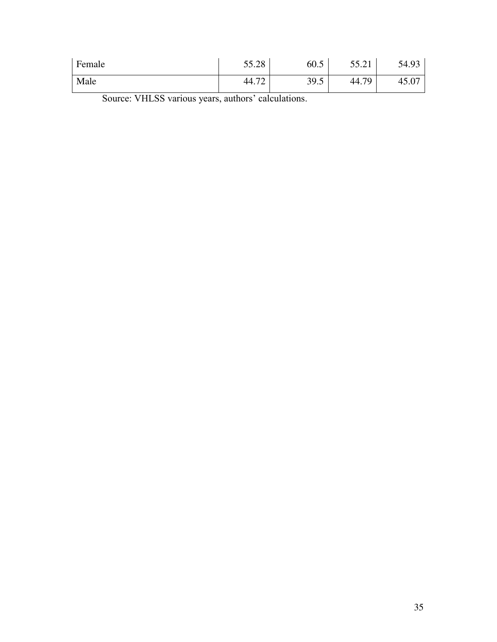| Female | 55.28                             | 60.5 | 55.01<br>JJ.21 | 54.93 |
|--------|-----------------------------------|------|----------------|-------|
| Male   | $\overline{\phantom{a}}$<br>44.72 | 39.5 | 70<br>44.7     | 49.U  |

Source: VHLSS various years, authors' calculations.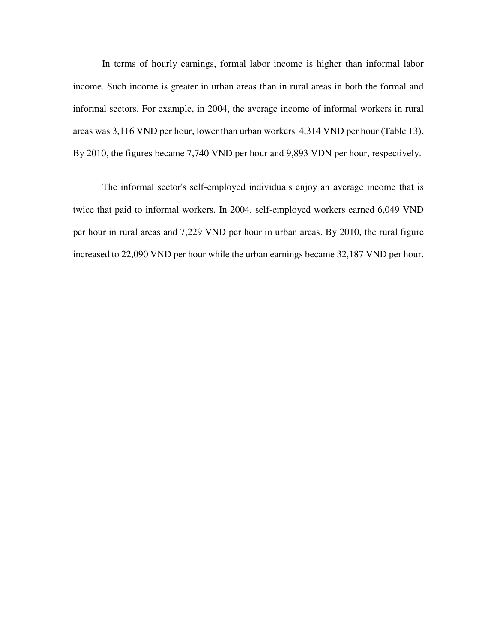In terms of hourly earnings, formal labor income is higher than informal labor income. Such income is greater in urban areas than in rural areas in both the formal and informal sectors. For example, in 2004, the average income of informal workers in rural areas was 3,116 VND per hour, lower than urban workers' 4,314 VND per hour (Table 13). By 2010, the figures became 7,740 VND per hour and 9,893 VDN per hour, respectively.

The informal sector's self-employed individuals enjoy an average income that is twice that paid to informal workers. In 2004, self-employed workers earned 6,049 VND per hour in rural areas and 7,229 VND per hour in urban areas. By 2010, the rural figure increased to 22,090 VND per hour while the urban earnings became 32,187 VND per hour.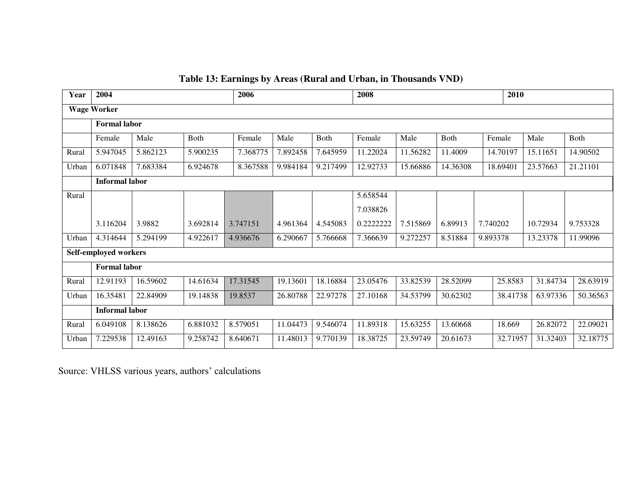# **Table 13: Earnings by Areas (Rural and Urban, in Thousands VND)**

| Year                  | 2004                  |          |          | 2006     |          |          | 2008      |          |                      | 2010     |          |          |          |
|-----------------------|-----------------------|----------|----------|----------|----------|----------|-----------|----------|----------------------|----------|----------|----------|----------|
| <b>Wage Worker</b>    |                       |          |          |          |          |          |           |          |                      |          |          |          |          |
|                       | <b>Formal labor</b>   |          |          |          |          |          |           |          |                      |          |          |          |          |
|                       | Female                | Male     | Both     | Female   | Male     | Both     | Female    | Male     | Both                 | Female   |          | Male     | Both     |
| Rural                 | 5.947045              | 5.862123 | 5.900235 | 7.368775 | 7.892458 | 7.645959 | 11.22024  | 11.56282 | 11.4009              | 14.70197 |          | 15.11651 | 14.90502 |
| Urban                 | 6.071848              | 7.683384 | 6.924678 | 8.367588 | 9.984184 | 9.217499 | 12.92733  | 15.66886 | 14.36308             | 18.69401 |          | 23.57663 | 21.21101 |
|                       | <b>Informal labor</b> |          |          |          |          |          |           |          |                      |          |          |          |          |
| Rural                 |                       |          |          |          |          |          | 5.658544  |          |                      |          |          |          |          |
|                       |                       |          |          |          |          |          | 7.038826  |          |                      |          |          |          |          |
|                       | 3.116204              | 3.9882   | 3.692814 | 3.747151 | 4.961364 | 4.545083 | 0.2222222 | 7.515869 | 6.89913              | 7.740202 |          | 10.72934 | 9.753328 |
| Urban                 | 4.314644              | 5.294199 | 4.922617 | 4.936676 | 6.290667 | 5.766668 | 7.366639  | 9.272257 | 8.51884<br>9.893378  |          |          | 13.23378 | 11.99096 |
| Self-employed workers |                       |          |          |          |          |          |           |          |                      |          |          |          |          |
|                       | <b>Formal labor</b>   |          |          |          |          |          |           |          |                      |          |          |          |          |
| Rural                 | 12.91193              | 16.59602 | 14.61634 | 17.31545 | 19.13601 | 18.16884 | 23.05476  | 33.82539 | 28.52099<br>25.8583  |          |          | 31.84734 | 28.63919 |
| Urban                 | 16.35481              | 22.84909 | 19.14838 | 19.8537  | 26.80788 | 22.97278 | 27.10168  | 34.53799 | 30.62302<br>38.41738 |          |          | 63.97336 | 50.36563 |
|                       | <b>Informal labor</b> |          |          |          |          |          |           |          |                      |          |          |          |          |
| Rural                 | 6.049108              | 8.138626 | 6.881032 | 8.579051 | 11.04473 | 9.546074 | 11.89318  | 15.63255 | 13.60668             |          | 18.669   | 26.82072 | 22.09021 |
| Urban                 | 7.229538              | 12.49163 | 9.258742 | 8.640671 | 11.48013 | 9.770139 | 18.38725  | 23.59749 | 20.61673             |          | 32.71957 | 31.32403 | 32.18775 |

Source: VHLSS various years, authors' calculations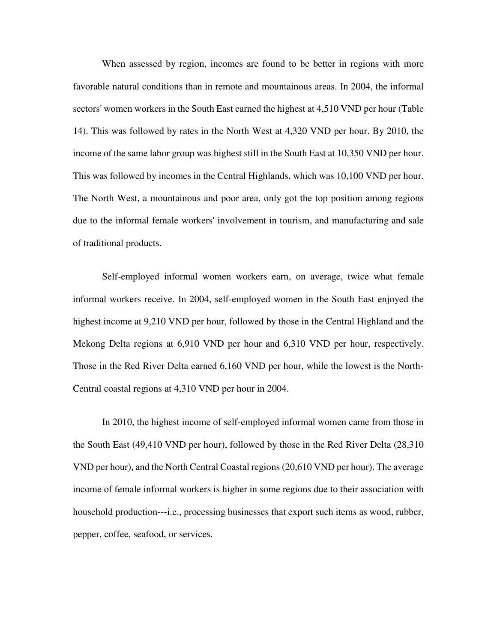When assessed by region, incomes are found to be better in regions with more favorable natural conditions than in remote and mountainous areas. In 2004, the informal sectors' women workers in the South East earned the highest at 4,510 VND per hour (Table 14). This was followed by rates in the North West at 4,320 VND per hour. By 2010, the income of the same labor group was highest still in the South East at 10,350 VND per hour. This was followed by incomes in the Central Highlands, which was 10,100 VND per hour. The North West, a mountainous and poor area, only got the top position among regions due to the informal female workers' involvement in tourism, and manufacturing and sale of traditional products.

Self-employed informal women workers earn, on average, twice what female informal workers receive. In 2004, self-employed women in the South East enjoyed the highest income at 9,210 VND per hour, followed by those in the Central Highland and the Mekong Delta regions at 6,910 VND per hour and 6,310 VND per hour, respectively. Those in the Red River Delta earned 6,160 VND per hour, while the lowest is the North-Central coastal regions at 4,310 VND per hour in 2004.

In 2010, the highest income of self-employed informal women came from those in the South East (49,410 VND per hour), followed by those in the Red River Delta (28,310 VND per hour), and the North Central Coastal regions (20,610 VND per hour). The average income of female informal workers is higher in some regions due to their association with household production---i.e., processing businesses that export such items as wood, rubber, pepper, coffee, seafood, or services.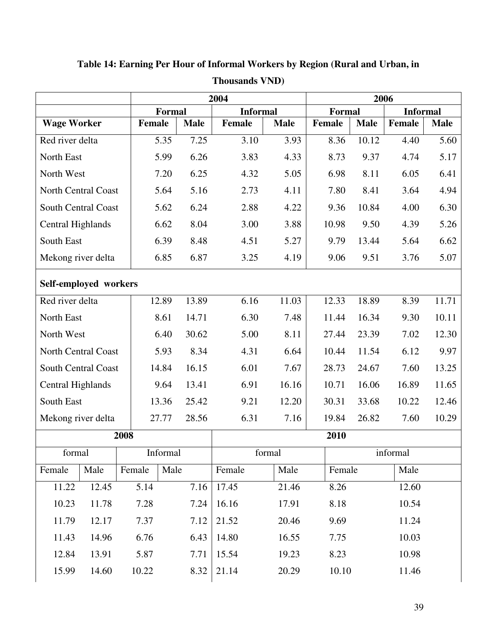| <b>Informal</b><br><b>Informal</b><br><b>Formal</b><br><b>Formal</b><br><b>Female</b><br><b>Wage Worker</b><br>Female<br><b>Female</b><br><b>Male</b><br><b>Male</b><br>Female<br><b>Male</b><br><b>Male</b><br>Red river delta<br>7.25<br>3.10<br>3.93<br>10.12<br>5.60<br>5.35<br>8.36<br>4.40<br>6.26<br>North East<br>5.99<br>3.83<br>4.33<br>8.73<br>9.37<br>4.74<br>5.17<br>7.20<br>6.25<br>4.32<br>8.11<br>6.05<br>6.41<br>North West<br>5.05<br>6.98<br>5.16<br>8.41<br>North Central Coast<br>5.64<br>2.73<br>4.11<br>7.80<br>3.64<br>4.94<br>South Central Coast<br>6.24<br>2.88<br>10.84<br>4.00<br>6.30<br>5.62<br>4.22<br>9.36<br>8.04<br>3.00<br>9.50<br>4.39<br>5.26<br>Central Highlands<br>6.62<br>3.88<br>10.98<br>South East<br>6.39<br>5.27<br>6.62<br>8.48<br>4.51<br>9.79<br>13.44<br>5.64<br>6.85<br>6.87<br>5.07<br>Mekong river delta<br>3.25<br>4.19<br>9.06<br>9.51<br>3.76<br>Self-employed workers<br>18.89<br>11.71<br>Red river delta<br>12.89<br>13.89<br>6.16<br>11.03<br>12.33<br>8.39<br>6.30<br>16.34<br>10.11<br>North East<br>8.61<br>14.71<br>7.48<br>11.44<br>9.30<br>5.00<br>23.39<br>7.02<br>12.30<br>North West<br>6.40<br>30.62<br>8.11<br>27.44<br>8.34<br>North Central Coast<br>5.93<br>4.31<br>6.64<br>10.44<br>6.12<br>9.97<br>11.54<br>16.15<br>6.01<br>13.25<br>South Central Coast<br>14.84<br>7.67<br>28.73<br>24.67<br>7.60<br>Central Highlands<br>13.41<br>6.91<br>16.16<br>10.71<br>16.06<br>16.89<br>11.65<br>9.64<br>South East<br>13.36<br>25.42<br>9.21<br>12.20<br>30.31<br>33.68<br>10.22<br>12.46<br>6.31<br>26.82<br>Mekong river delta<br>27.77<br>28.56<br>7.16<br>19.84<br>7.60<br>10.29<br>2010<br>2008 |  |  |  |
|------------------------------------------------------------------------------------------------------------------------------------------------------------------------------------------------------------------------------------------------------------------------------------------------------------------------------------------------------------------------------------------------------------------------------------------------------------------------------------------------------------------------------------------------------------------------------------------------------------------------------------------------------------------------------------------------------------------------------------------------------------------------------------------------------------------------------------------------------------------------------------------------------------------------------------------------------------------------------------------------------------------------------------------------------------------------------------------------------------------------------------------------------------------------------------------------------------------------------------------------------------------------------------------------------------------------------------------------------------------------------------------------------------------------------------------------------------------------------------------------------------------------------------------------------------------------------------------------------------------------------------------------------------------------------|--|--|--|
|                                                                                                                                                                                                                                                                                                                                                                                                                                                                                                                                                                                                                                                                                                                                                                                                                                                                                                                                                                                                                                                                                                                                                                                                                                                                                                                                                                                                                                                                                                                                                                                                                                                                              |  |  |  |
|                                                                                                                                                                                                                                                                                                                                                                                                                                                                                                                                                                                                                                                                                                                                                                                                                                                                                                                                                                                                                                                                                                                                                                                                                                                                                                                                                                                                                                                                                                                                                                                                                                                                              |  |  |  |
|                                                                                                                                                                                                                                                                                                                                                                                                                                                                                                                                                                                                                                                                                                                                                                                                                                                                                                                                                                                                                                                                                                                                                                                                                                                                                                                                                                                                                                                                                                                                                                                                                                                                              |  |  |  |
|                                                                                                                                                                                                                                                                                                                                                                                                                                                                                                                                                                                                                                                                                                                                                                                                                                                                                                                                                                                                                                                                                                                                                                                                                                                                                                                                                                                                                                                                                                                                                                                                                                                                              |  |  |  |
|                                                                                                                                                                                                                                                                                                                                                                                                                                                                                                                                                                                                                                                                                                                                                                                                                                                                                                                                                                                                                                                                                                                                                                                                                                                                                                                                                                                                                                                                                                                                                                                                                                                                              |  |  |  |
|                                                                                                                                                                                                                                                                                                                                                                                                                                                                                                                                                                                                                                                                                                                                                                                                                                                                                                                                                                                                                                                                                                                                                                                                                                                                                                                                                                                                                                                                                                                                                                                                                                                                              |  |  |  |
|                                                                                                                                                                                                                                                                                                                                                                                                                                                                                                                                                                                                                                                                                                                                                                                                                                                                                                                                                                                                                                                                                                                                                                                                                                                                                                                                                                                                                                                                                                                                                                                                                                                                              |  |  |  |
|                                                                                                                                                                                                                                                                                                                                                                                                                                                                                                                                                                                                                                                                                                                                                                                                                                                                                                                                                                                                                                                                                                                                                                                                                                                                                                                                                                                                                                                                                                                                                                                                                                                                              |  |  |  |
|                                                                                                                                                                                                                                                                                                                                                                                                                                                                                                                                                                                                                                                                                                                                                                                                                                                                                                                                                                                                                                                                                                                                                                                                                                                                                                                                                                                                                                                                                                                                                                                                                                                                              |  |  |  |
|                                                                                                                                                                                                                                                                                                                                                                                                                                                                                                                                                                                                                                                                                                                                                                                                                                                                                                                                                                                                                                                                                                                                                                                                                                                                                                                                                                                                                                                                                                                                                                                                                                                                              |  |  |  |
|                                                                                                                                                                                                                                                                                                                                                                                                                                                                                                                                                                                                                                                                                                                                                                                                                                                                                                                                                                                                                                                                                                                                                                                                                                                                                                                                                                                                                                                                                                                                                                                                                                                                              |  |  |  |
|                                                                                                                                                                                                                                                                                                                                                                                                                                                                                                                                                                                                                                                                                                                                                                                                                                                                                                                                                                                                                                                                                                                                                                                                                                                                                                                                                                                                                                                                                                                                                                                                                                                                              |  |  |  |
|                                                                                                                                                                                                                                                                                                                                                                                                                                                                                                                                                                                                                                                                                                                                                                                                                                                                                                                                                                                                                                                                                                                                                                                                                                                                                                                                                                                                                                                                                                                                                                                                                                                                              |  |  |  |
|                                                                                                                                                                                                                                                                                                                                                                                                                                                                                                                                                                                                                                                                                                                                                                                                                                                                                                                                                                                                                                                                                                                                                                                                                                                                                                                                                                                                                                                                                                                                                                                                                                                                              |  |  |  |
|                                                                                                                                                                                                                                                                                                                                                                                                                                                                                                                                                                                                                                                                                                                                                                                                                                                                                                                                                                                                                                                                                                                                                                                                                                                                                                                                                                                                                                                                                                                                                                                                                                                                              |  |  |  |
|                                                                                                                                                                                                                                                                                                                                                                                                                                                                                                                                                                                                                                                                                                                                                                                                                                                                                                                                                                                                                                                                                                                                                                                                                                                                                                                                                                                                                                                                                                                                                                                                                                                                              |  |  |  |
|                                                                                                                                                                                                                                                                                                                                                                                                                                                                                                                                                                                                                                                                                                                                                                                                                                                                                                                                                                                                                                                                                                                                                                                                                                                                                                                                                                                                                                                                                                                                                                                                                                                                              |  |  |  |
|                                                                                                                                                                                                                                                                                                                                                                                                                                                                                                                                                                                                                                                                                                                                                                                                                                                                                                                                                                                                                                                                                                                                                                                                                                                                                                                                                                                                                                                                                                                                                                                                                                                                              |  |  |  |
|                                                                                                                                                                                                                                                                                                                                                                                                                                                                                                                                                                                                                                                                                                                                                                                                                                                                                                                                                                                                                                                                                                                                                                                                                                                                                                                                                                                                                                                                                                                                                                                                                                                                              |  |  |  |
|                                                                                                                                                                                                                                                                                                                                                                                                                                                                                                                                                                                                                                                                                                                                                                                                                                                                                                                                                                                                                                                                                                                                                                                                                                                                                                                                                                                                                                                                                                                                                                                                                                                                              |  |  |  |
| informal<br>formal<br>Informal<br>formal                                                                                                                                                                                                                                                                                                                                                                                                                                                                                                                                                                                                                                                                                                                                                                                                                                                                                                                                                                                                                                                                                                                                                                                                                                                                                                                                                                                                                                                                                                                                                                                                                                     |  |  |  |
| Female<br>Male<br>Male<br>Male<br>Male<br>Female<br>Female<br>Female                                                                                                                                                                                                                                                                                                                                                                                                                                                                                                                                                                                                                                                                                                                                                                                                                                                                                                                                                                                                                                                                                                                                                                                                                                                                                                                                                                                                                                                                                                                                                                                                         |  |  |  |
| 11.22<br>12.45<br>5.14<br>7.16<br>17.45<br>21.46<br>8.26<br>12.60                                                                                                                                                                                                                                                                                                                                                                                                                                                                                                                                                                                                                                                                                                                                                                                                                                                                                                                                                                                                                                                                                                                                                                                                                                                                                                                                                                                                                                                                                                                                                                                                            |  |  |  |
| 10.23<br>11.78<br>7.28<br>16.16<br>8.18<br>10.54<br>7.24<br>17.91                                                                                                                                                                                                                                                                                                                                                                                                                                                                                                                                                                                                                                                                                                                                                                                                                                                                                                                                                                                                                                                                                                                                                                                                                                                                                                                                                                                                                                                                                                                                                                                                            |  |  |  |
| 20.46<br>9.69<br>11.24<br>11.79<br>12.17<br>7.37<br>7.12<br>21.52                                                                                                                                                                                                                                                                                                                                                                                                                                                                                                                                                                                                                                                                                                                                                                                                                                                                                                                                                                                                                                                                                                                                                                                                                                                                                                                                                                                                                                                                                                                                                                                                            |  |  |  |
| 14.96<br>6.76<br>6.43<br>14.80<br>16.55<br>10.03<br>11.43<br>7.75                                                                                                                                                                                                                                                                                                                                                                                                                                                                                                                                                                                                                                                                                                                                                                                                                                                                                                                                                                                                                                                                                                                                                                                                                                                                                                                                                                                                                                                                                                                                                                                                            |  |  |  |
| 5.87<br>8.23<br>12.84<br>13.91<br>15.54<br>19.23<br>10.98<br>7.71                                                                                                                                                                                                                                                                                                                                                                                                                                                                                                                                                                                                                                                                                                                                                                                                                                                                                                                                                                                                                                                                                                                                                                                                                                                                                                                                                                                                                                                                                                                                                                                                            |  |  |  |
| 10.22<br>10.10<br>15.99<br>14.60<br>8.32<br>21.14<br>20.29<br>11.46                                                                                                                                                                                                                                                                                                                                                                                                                                                                                                                                                                                                                                                                                                                                                                                                                                                                                                                                                                                                                                                                                                                                                                                                                                                                                                                                                                                                                                                                                                                                                                                                          |  |  |  |

**Table 14: Earning Per Hour of Informal Workers by Region (Rural and Urban, in Thousands VND)**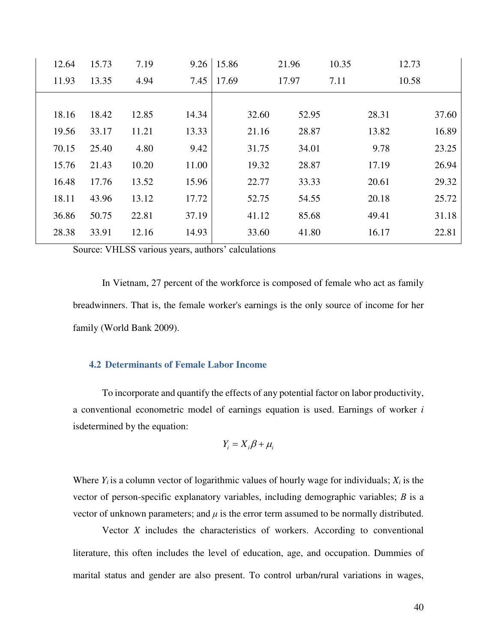| 15.73 | 7.19  | 9.26  | 15.86 |       | 21.96 | 10.35 | 12.73                                                               |
|-------|-------|-------|-------|-------|-------|-------|---------------------------------------------------------------------|
| 13.35 | 4.94  | 7.45  | 17.69 |       | 17.97 | 7.11  | 10.58                                                               |
|       |       |       |       |       |       |       |                                                                     |
| 18.42 | 12.85 | 14.34 |       | 32.60 | 52.95 |       | 37.60                                                               |
| 33.17 | 11.21 | 13.33 |       | 21.16 | 28.87 |       | 16.89                                                               |
| 25.40 | 4.80  | 9.42  |       | 31.75 | 34.01 |       | 23.25                                                               |
| 21.43 | 10.20 | 11.00 |       | 19.32 | 28.87 |       | 26.94                                                               |
| 17.76 | 13.52 | 15.96 |       | 22.77 | 33.33 |       | 29.32                                                               |
| 43.96 | 13.12 | 17.72 |       | 52.75 | 54.55 |       | 25.72                                                               |
| 50.75 | 22.81 | 37.19 |       | 41.12 | 85.68 |       | 31.18                                                               |
| 33.91 | 12.16 | 14.93 |       | 33.60 | 41.80 |       | 22.81                                                               |
|       |       |       |       |       |       |       | 28.31<br>13.82<br>9.78<br>17.19<br>20.61<br>20.18<br>49.41<br>16.17 |

Source: VHLSS various years, authors' calculations

In Vietnam, 27 percent of the workforce is composed of female who act as family breadwinners. That is, the female worker's earnings is the only source of income for her family (World Bank 2009).

#### **4.2 Determinants of Female Labor Income**

To incorporate and quantify the effects of any potential factor on labor productivity, a conventional econometric model of earnings equation is used. Earnings of worker *i* isdetermined by the equation:

$$
Y_i = X_i \beta + \mu_i
$$

Where  $Y_i$  is a column vector of logarithmic values of hourly wage for individuals;  $X_i$  is the vector of person-specific explanatory variables, including demographic variables; *Β* is a vector of unknown parameters; and  $\mu$  is the error term assumed to be normally distributed.

Vector *X* includes the characteristics of workers. According to conventional literature, this often includes the level of education, age, and occupation. Dummies of marital status and gender are also present. To control urban/rural variations in wages,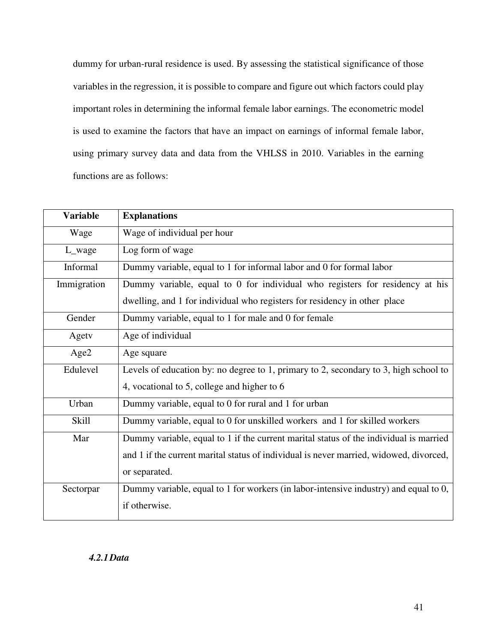dummy for urban-rural residence is used. By assessing the statistical significance of those variables in the regression, it is possible to compare and figure out which factors could play important roles in determining the informal female labor earnings. The econometric model is used to examine the factors that have an impact on earnings of informal female labor, using primary survey data and data from the VHLSS in 2010. Variables in the earning functions are as follows:

| <b>Variable</b> | <b>Explanations</b>                                                                    |
|-----------------|----------------------------------------------------------------------------------------|
| Wage            | Wage of individual per hour                                                            |
| L_wage          | Log form of wage                                                                       |
| Informal        | Dummy variable, equal to 1 for informal labor and 0 for formal labor                   |
| Immigration     | Dummy variable, equal to 0 for individual who registers for residency at his           |
|                 | dwelling, and 1 for individual who registers for residency in other place              |
| Gender          | Dummy variable, equal to 1 for male and 0 for female                                   |
| Agety           | Age of individual                                                                      |
| Age2            | Age square                                                                             |
| Edulevel        | Levels of education by: no degree to 1, primary to 2, secondary to 3, high school to   |
|                 | 4, vocational to 5, college and higher to 6                                            |
| Urban           | Dummy variable, equal to 0 for rural and 1 for urban                                   |
| <b>Skill</b>    | Dummy variable, equal to 0 for unskilled workers and 1 for skilled workers             |
| Mar             | Dummy variable, equal to 1 if the current marital status of the individual is married  |
|                 | and 1 if the current marital status of individual is never married, widowed, divorced, |
|                 | or separated.                                                                          |
| Sectorpar       | Dummy variable, equal to 1 for workers (in labor-intensive industry) and equal to 0,   |
|                 | if otherwise.                                                                          |

*4.2.1Data*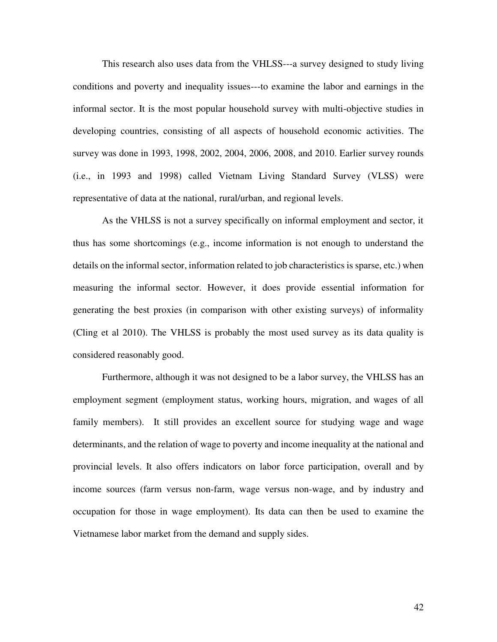This research also uses data from the VHLSS---a survey designed to study living conditions and poverty and inequality issues---to examine the labor and earnings in the informal sector. It is the most popular household survey with multi-objective studies in developing countries, consisting of all aspects of household economic activities. The survey was done in 1993, 1998, 2002, 2004, 2006, 2008, and 2010. Earlier survey rounds (i.e., in 1993 and 1998) called Vietnam Living Standard Survey (VLSS) were representative of data at the national, rural/urban, and regional levels.

As the VHLSS is not a survey specifically on informal employment and sector, it thus has some shortcomings (e.g., income information is not enough to understand the details on the informal sector, information related to job characteristics is sparse, etc.) when measuring the informal sector. However, it does provide essential information for generating the best proxies (in comparison with other existing surveys) of informality (Cling et al 2010). The VHLSS is probably the most used survey as its data quality is considered reasonably good.

Furthermore, although it was not designed to be a labor survey, the VHLSS has an employment segment (employment status, working hours, migration, and wages of all family members). It still provides an excellent source for studying wage and wage determinants, and the relation of wage to poverty and income inequality at the national and provincial levels. It also offers indicators on labor force participation, overall and by income sources (farm versus non-farm, wage versus non-wage, and by industry and occupation for those in wage employment). Its data can then be used to examine the Vietnamese labor market from the demand and supply sides.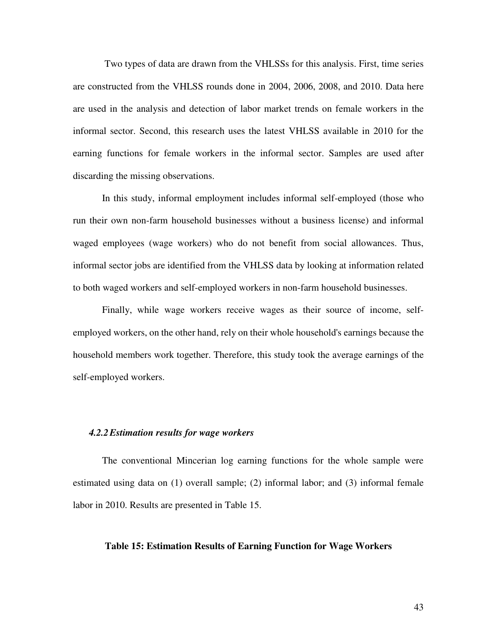Two types of data are drawn from the VHLSSs for this analysis. First, time series are constructed from the VHLSS rounds done in 2004, 2006, 2008, and 2010. Data here are used in the analysis and detection of labor market trends on female workers in the informal sector. Second, this research uses the latest VHLSS available in 2010 for the earning functions for female workers in the informal sector. Samples are used after discarding the missing observations.

In this study, informal employment includes informal self-employed (those who run their own non-farm household businesses without a business license) and informal waged employees (wage workers) who do not benefit from social allowances. Thus, informal sector jobs are identified from the VHLSS data by looking at information related to both waged workers and self-employed workers in non-farm household businesses.

Finally, while wage workers receive wages as their source of income, selfemployed workers, on the other hand, rely on their whole household's earnings because the household members work together. Therefore, this study took the average earnings of the self-employed workers.

#### *4.2.2Estimation results for wage workers*

The conventional Mincerian log earning functions for the whole sample were estimated using data on (1) overall sample; (2) informal labor; and (3) informal female labor in 2010. Results are presented in Table 15.

#### **Table 15: Estimation Results of Earning Function for Wage Workers**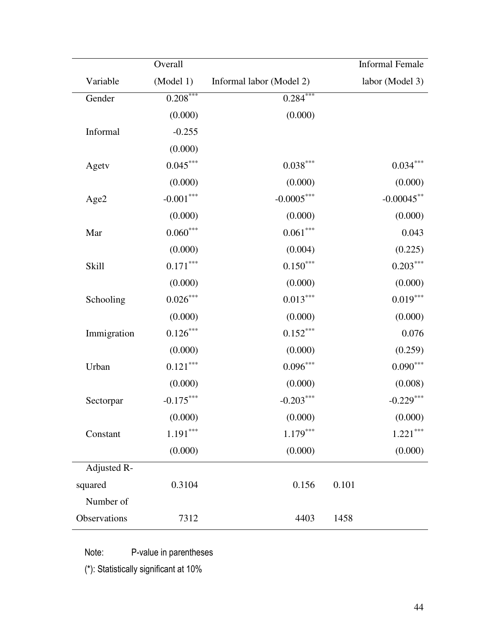|              | Overall     |                          |       | <b>Informal Female</b> |
|--------------|-------------|--------------------------|-------|------------------------|
| Variable     | (Model 1)   | Informal labor (Model 2) |       | labor (Model 3)        |
| Gender       | $0.208***$  | $0.284***$               |       |                        |
|              | (0.000)     | (0.000)                  |       |                        |
| Informal     | $-0.255$    |                          |       |                        |
|              | (0.000)     |                          |       |                        |
| Agety        | $0.045***$  | $0.038***$               |       | $0.034***$             |
|              | (0.000)     | (0.000)                  |       | (0.000)                |
| Age2         | $-0.001***$ | $-0.0005***$             |       | $-0.00045$ **          |
|              | (0.000)     | (0.000)                  |       | (0.000)                |
| Mar          | $0.060***$  | $0.061***$               |       | 0.043                  |
|              | (0.000)     | (0.004)                  |       | (0.225)                |
| Skill        | $0.171***$  | $0.150***$               |       | $0.203***$             |
|              | (0.000)     | (0.000)                  |       | (0.000)                |
| Schooling    | $0.026***$  | $0.013***$               |       | $0.019***$             |
|              | (0.000)     | (0.000)                  |       | (0.000)                |
| Immigration  | $0.126***$  | $0.152***$               |       | 0.076                  |
|              | (0.000)     | (0.000)                  |       | (0.259)                |
| Urban        | $0.121***$  | $0.096***$               |       | $0.090***$             |
|              | (0.000)     | (0.000)                  |       | (0.008)                |
| Sectorpar    | $-0.175***$ | $-0.203***$              |       | $-0.229***$            |
|              | (0.000)     | (0.000)                  |       | (0.000)                |
| Constant     | $1.191***$  | $1.179***$               |       | $1.221***$             |
|              | (0.000)     | (0.000)                  |       | (0.000)                |
| Adjusted R-  |             |                          |       |                        |
| squared      | 0.3104      | 0.156                    | 0.101 |                        |
| Number of    |             |                          |       |                        |
| Observations | 7312        | 4403                     | 1458  |                        |

Note: P-value in parentheses

(\*): Statistically significant at 10%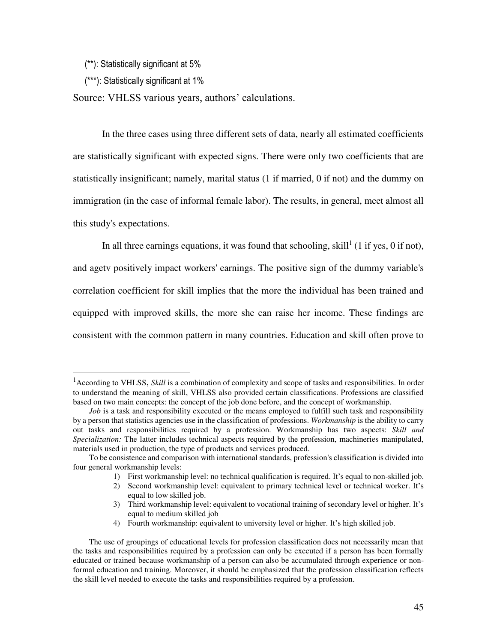(\*\*): Statistically significant at 5%

(\*\*\*): Statistically significant at 1%

 $\overline{a}$ 

Source: VHLSS various years, authors' calculations.

In the three cases using three different sets of data, nearly all estimated coefficients are statistically significant with expected signs. There were only two coefficients that are statistically insignificant; namely, marital status (1 if married, 0 if not) and the dummy on immigration (in the case of informal female labor). The results, in general, meet almost all this study's expectations.

In all three earnings equations, it was found that schooling, skill<sup>1</sup> (1 if yes, 0 if not), and agetv positively impact workers' earnings. The positive sign of the dummy variable's correlation coefficient for skill implies that the more the individual has been trained and equipped with improved skills, the more she can raise her income. These findings are consistent with the common pattern in many countries. Education and skill often prove to

<sup>&</sup>lt;sup>1</sup> According to VHLSS, *Skill* is a combination of complexity and scope of tasks and responsibilities. In order to understand the meaning of skill, VHLSS also provided certain classifications. Professions are classified based on two main concepts: the concept of the job done before, and the concept of workmanship.

*Job* is a task and responsibility executed or the means employed to fulfill such task and responsibility by a person that statistics agencies use in the classification of professions. *Workmanship* is the ability to carry out tasks and responsibilities required by a profession. Workmanship has two aspects: *Skill and Specialization:* The latter includes technical aspects required by the profession, machineries manipulated, materials used in production, the type of products and services produced.

To be consistence and comparison with international standards, profession's classification is divided into four general workmanship levels:

<sup>1)</sup> First workmanship level: no technical qualification is required. It's equal to non-skilled job.

<sup>2)</sup> Second workmanship level: equivalent to primary technical level or technical worker. It's equal to low skilled job.

<sup>3)</sup> Third workmanship level: equivalent to vocational training of secondary level or higher. It's equal to medium skilled job

<sup>4)</sup> Fourth workmanship: equivalent to university level or higher. It's high skilled job.

The use of groupings of educational levels for profession classification does not necessarily mean that the tasks and responsibilities required by a profession can only be executed if a person has been formally educated or trained because workmanship of a person can also be accumulated through experience or nonformal education and training. Moreover, it should be emphasized that the profession classification reflects the skill level needed to execute the tasks and responsibilities required by a profession.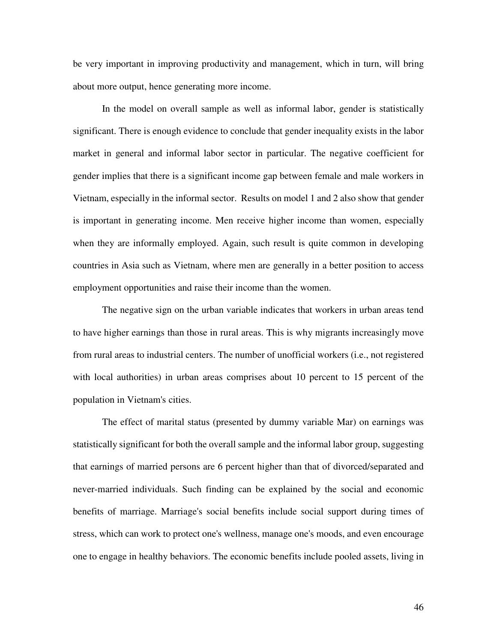be very important in improving productivity and management, which in turn, will bring about more output, hence generating more income.

In the model on overall sample as well as informal labor, gender is statistically significant. There is enough evidence to conclude that gender inequality exists in the labor market in general and informal labor sector in particular. The negative coefficient for gender implies that there is a significant income gap between female and male workers in Vietnam, especially in the informal sector. Results on model 1 and 2 also show that gender is important in generating income. Men receive higher income than women, especially when they are informally employed. Again, such result is quite common in developing countries in Asia such as Vietnam, where men are generally in a better position to access employment opportunities and raise their income than the women.

The negative sign on the urban variable indicates that workers in urban areas tend to have higher earnings than those in rural areas. This is why migrants increasingly move from rural areas to industrial centers. The number of unofficial workers (i.e., not registered with local authorities) in urban areas comprises about 10 percent to 15 percent of the population in Vietnam's cities.

The effect of marital status (presented by dummy variable Mar) on earnings was statistically significant for both the overall sample and the informal labor group, suggesting that earnings of married persons are 6 percent higher than that of divorced/separated and never-married individuals. Such finding can be explained by the social and economic benefits of marriage. Marriage's social benefits include social support during times of stress, which can work to protect one's wellness, manage one's moods, and even encourage one to engage in healthy behaviors. The economic benefits include pooled assets, living in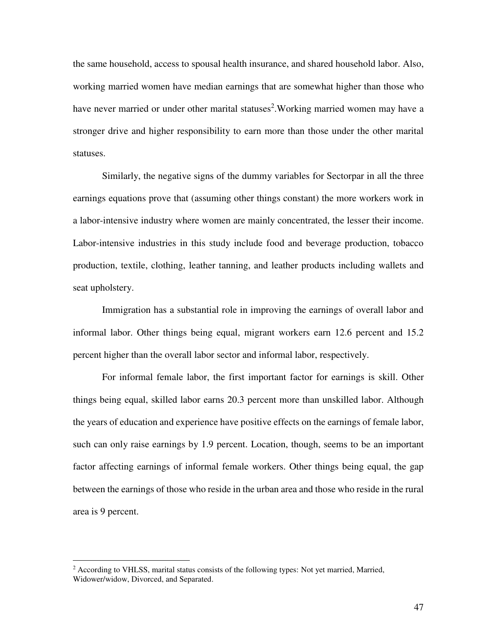the same household, access to spousal health insurance, and shared household labor. Also, working married women have median earnings that are somewhat higher than those who have never married or under other marital statuses<sup>2</sup>. Working married women may have a stronger drive and higher responsibility to earn more than those under the other marital statuses.

Similarly, the negative signs of the dummy variables for Sectorpar in all the three earnings equations prove that (assuming other things constant) the more workers work in a labor-intensive industry where women are mainly concentrated, the lesser their income. Labor-intensive industries in this study include food and beverage production, tobacco production, textile, clothing, leather tanning, and leather products including wallets and seat upholstery.

Immigration has a substantial role in improving the earnings of overall labor and informal labor. Other things being equal, migrant workers earn 12.6 percent and 15.2 percent higher than the overall labor sector and informal labor, respectively.

For informal female labor, the first important factor for earnings is skill. Other things being equal, skilled labor earns 20.3 percent more than unskilled labor. Although the years of education and experience have positive effects on the earnings of female labor, such can only raise earnings by 1.9 percent. Location, though, seems to be an important factor affecting earnings of informal female workers. Other things being equal, the gap between the earnings of those who reside in the urban area and those who reside in the rural area is 9 percent.

 $\overline{a}$ 

<sup>&</sup>lt;sup>2</sup> According to VHLSS, marital status consists of the following types: Not yet married, Married, Widower/widow, Divorced, and Separated.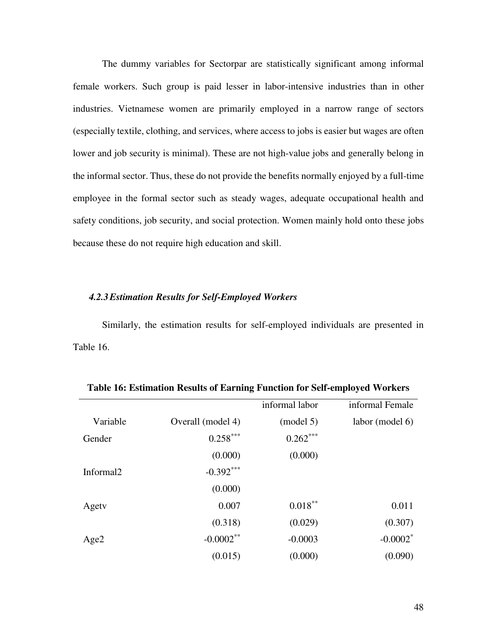The dummy variables for Sectorpar are statistically significant among informal female workers. Such group is paid lesser in labor-intensive industries than in other industries. Vietnamese women are primarily employed in a narrow range of sectors (especially textile, clothing, and services, where access to jobs is easier but wages are often lower and job security is minimal). These are not high-value jobs and generally belong in the informal sector. Thus, these do not provide the benefits normally enjoyed by a full-time employee in the formal sector such as steady wages, adequate occupational health and safety conditions, job security, and social protection. Women mainly hold onto these jobs because these do not require high education and skill.

#### *4.2.3Estimation Results for Self-Employed Workers*

Similarly, the estimation results for self-employed individuals are presented in Table 16.

|                   | informal labor | informal Female        |
|-------------------|----------------|------------------------|
| Overall (model 4) | (mod 5)        | labor (model 6)        |
| $0.258***$        | $0.262***$     |                        |
| (0.000)           | (0.000)        |                        |
| $-0.392***$       |                |                        |
| (0.000)           |                |                        |
| 0.007             | $0.018***$     | 0.011                  |
| (0.318)           | (0.029)        | (0.307)                |
| $-0.0002**$       | $-0.0003$      | $-0.0002$ <sup>*</sup> |
| (0.015)           | (0.000)        | (0.090)                |
|                   |                |                        |

**Table 16: Estimation Results of Earning Function for Self-employed Workers**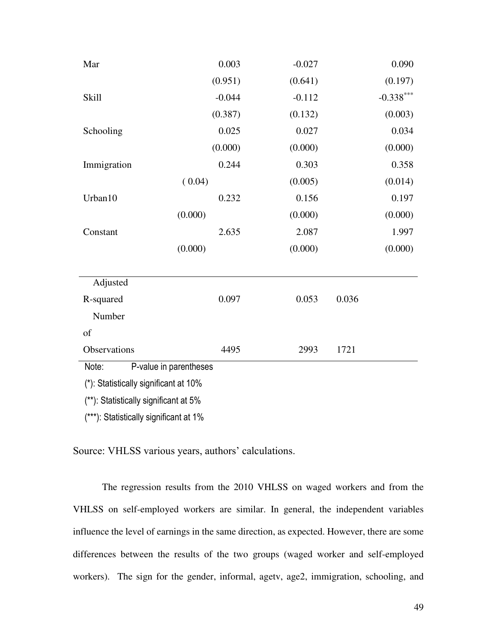| Mar                                   | 0.003                  | $-0.027$ |       | 0.090       |  |  |  |
|---------------------------------------|------------------------|----------|-------|-------------|--|--|--|
|                                       | (0.951)                | (0.641)  |       | (0.197)     |  |  |  |
| <b>Skill</b>                          | $-0.044$               | $-0.112$ |       | $-0.338***$ |  |  |  |
|                                       | (0.387)                | (0.132)  |       | (0.003)     |  |  |  |
| Schooling                             | 0.025                  | 0.027    |       | 0.034       |  |  |  |
|                                       | (0.000)                | (0.000)  |       | (0.000)     |  |  |  |
| Immigration                           | 0.244                  | 0.303    |       | 0.358       |  |  |  |
|                                       | (0.04)                 | (0.005)  |       | (0.014)     |  |  |  |
| Urban10                               | 0.232                  | 0.156    |       | 0.197       |  |  |  |
|                                       | (0.000)                | (0.000)  |       | (0.000)     |  |  |  |
| Constant                              | 2.635                  | 2.087    |       | 1.997       |  |  |  |
|                                       | (0.000)                | (0.000)  |       | (0.000)     |  |  |  |
| Adjusted                              |                        |          |       |             |  |  |  |
| R-squared                             | 0.097                  | 0.053    | 0.036 |             |  |  |  |
| Number                                |                        |          |       |             |  |  |  |
| of                                    |                        |          |       |             |  |  |  |
| Observations                          | 4495                   | 2993     | 1721  |             |  |  |  |
| Note:                                 | P-value in parentheses |          |       |             |  |  |  |
| (*): Statistically significant at 10% |                        |          |       |             |  |  |  |

(\*\*): Statistically significant at 5%

(\*\*\*): Statistically significant at 1%

Source: VHLSS various years, authors' calculations.

The regression results from the 2010 VHLSS on waged workers and from the VHLSS on self-employed workers are similar. In general, the independent variables influence the level of earnings in the same direction, as expected. However, there are some differences between the results of the two groups (waged worker and self-employed workers). The sign for the gender, informal, agetv, age2, immigration, schooling, and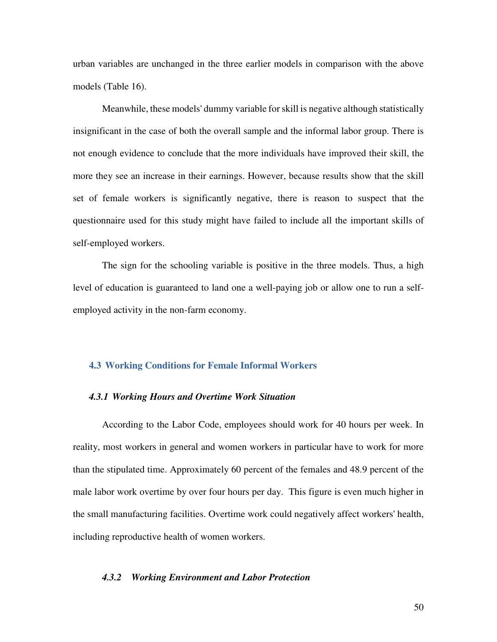urban variables are unchanged in the three earlier models in comparison with the above models (Table 16).

Meanwhile, these models' dummy variable for skill is negative although statistically insignificant in the case of both the overall sample and the informal labor group. There is not enough evidence to conclude that the more individuals have improved their skill, the more they see an increase in their earnings. However, because results show that the skill set of female workers is significantly negative, there is reason to suspect that the questionnaire used for this study might have failed to include all the important skills of self-employed workers.

The sign for the schooling variable is positive in the three models. Thus, a high level of education is guaranteed to land one a well-paying job or allow one to run a selfemployed activity in the non-farm economy.

#### **4.3 Working Conditions for Female Informal Workers**

#### *4.3.1 Working Hours and Overtime Work Situation*

According to the Labor Code, employees should work for 40 hours per week. In reality, most workers in general and women workers in particular have to work for more than the stipulated time. Approximately 60 percent of the females and 48.9 percent of the male labor work overtime by over four hours per day. This figure is even much higher in the small manufacturing facilities. Overtime work could negatively affect workers' health, including reproductive health of women workers.

#### *4.3.2 Working Environment and Labor Protection*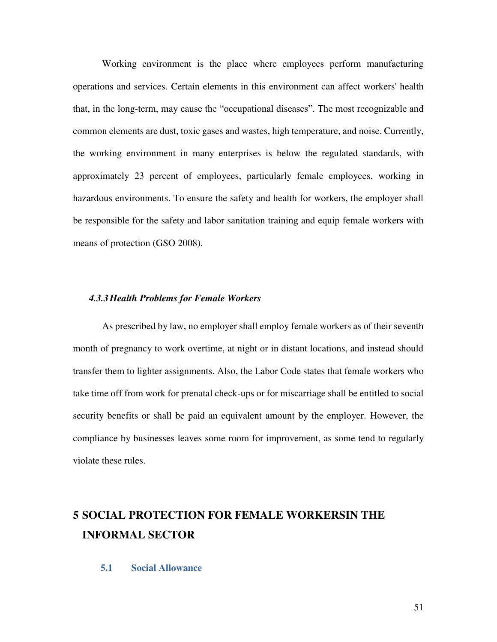Working environment is the place where employees perform manufacturing operations and services. Certain elements in this environment can affect workers' health that, in the long-term, may cause the "occupational diseases". The most recognizable and common elements are dust, toxic gases and wastes, high temperature, and noise. Currently, the working environment in many enterprises is below the regulated standards, with approximately 23 percent of employees, particularly female employees, working in hazardous environments. To ensure the safety and health for workers, the employer shall be responsible for the safety and labor sanitation training and equip female workers with means of protection (GSO 2008).

#### *4.3.3Health Problems for Female Workers*

As prescribed by law, no employer shall employ female workers as of their seventh month of pregnancy to work overtime, at night or in distant locations, and instead should transfer them to lighter assignments. Also, the Labor Code states that female workers who take time off from work for prenatal check-ups or for miscarriage shall be entitled to social security benefits or shall be paid an equivalent amount by the employer. However, the compliance by businesses leaves some room for improvement, as some tend to regularly violate these rules.

# **5 SOCIAL PROTECTION FOR FEMALE WORKERSIN THE INFORMAL SECTOR**

# **5.1 Social Allowance**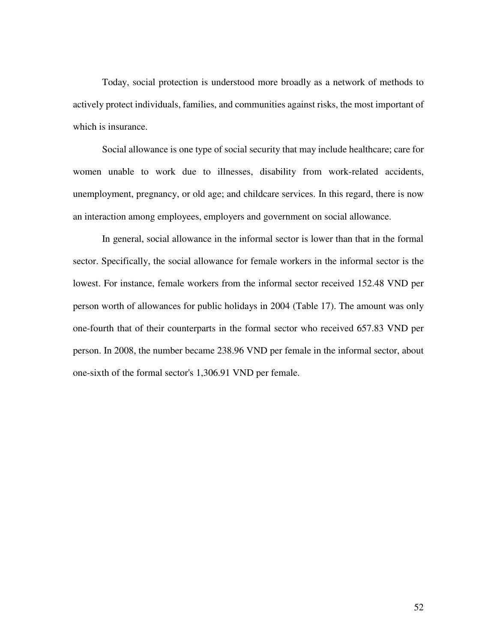Today, social protection is understood more broadly as a network of methods to actively protect individuals, families, and communities against risks, the most important of which is insurance.

Social allowance is one type of social security that may include healthcare; care for women unable to work due to illnesses, disability from work-related accidents, unemployment, pregnancy, or old age; and childcare services. In this regard, there is now an interaction among employees, employers and government on social allowance.

In general, social allowance in the informal sector is lower than that in the formal sector. Specifically, the social allowance for female workers in the informal sector is the lowest. For instance, female workers from the informal sector received 152.48 VND per person worth of allowances for public holidays in 2004 (Table 17). The amount was only one-fourth that of their counterparts in the formal sector who received 657.83 VND per person. In 2008, the number became 238.96 VND per female in the informal sector, about one-sixth of the formal sector's 1,306.91 VND per female.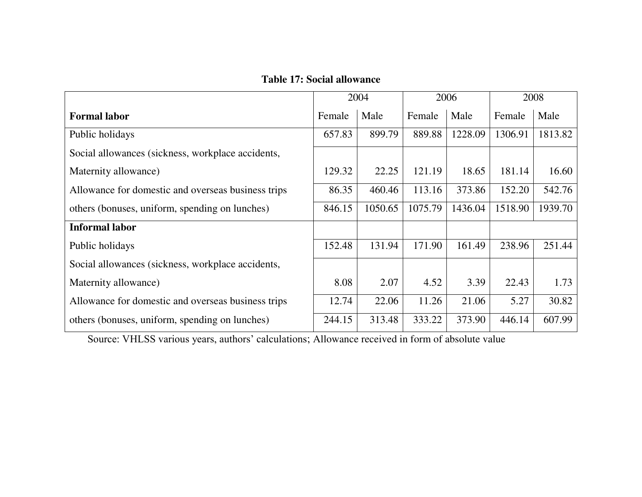**Table 17: Social allowance** 

|                                                    |        | 2004    |         | 2006    |         | 2008    |  |
|----------------------------------------------------|--------|---------|---------|---------|---------|---------|--|
| <b>Formal labor</b>                                | Female | Male    | Female  | Male    | Female  | Male    |  |
| Public holidays                                    | 657.83 | 899.79  | 889.88  | 1228.09 | 1306.91 | 1813.82 |  |
| Social allowances (sickness, workplace accidents,  |        |         |         |         |         |         |  |
| Maternity allowance)                               | 129.32 | 22.25   | 121.19  | 18.65   | 181.14  | 16.60   |  |
| Allowance for domestic and overseas business trips | 86.35  | 460.46  | 113.16  | 373.86  | 152.20  | 542.76  |  |
| others (bonuses, uniform, spending on lunches)     | 846.15 | 1050.65 | 1075.79 | 1436.04 | 1518.90 | 1939.70 |  |
| <b>Informal labor</b>                              |        |         |         |         |         |         |  |
| Public holidays                                    | 152.48 | 131.94  | 171.90  | 161.49  | 238.96  | 251.44  |  |
| Social allowances (sickness, workplace accidents,  |        |         |         |         |         |         |  |
| Maternity allowance)                               | 8.08   | 2.07    | 4.52    | 3.39    | 22.43   | 1.73    |  |
| Allowance for domestic and overseas business trips | 12.74  | 22.06   | 11.26   | 21.06   | 5.27    | 30.82   |  |
| others (bonuses, uniform, spending on lunches)     | 244.15 | 313.48  | 333.22  | 373.90  | 446.14  | 607.99  |  |

Source: VHLSS various years, authors' calculations; Allowance received in form of absolute value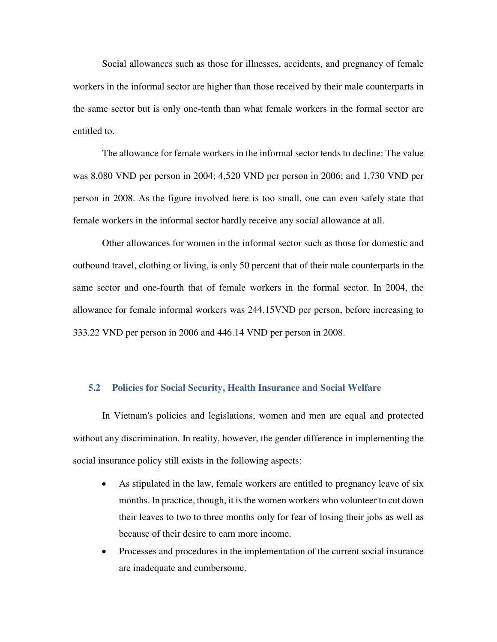Social allowances such as those for illnesses, accidents, and pregnancy of female workers in the informal sector are higher than those received by their male counterparts in the same sector but is only one-tenth than what female workers in the formal sector are entitled to.

The allowance for female workers in the informal sector tends to decline: The value was 8,080 VND per person in 2004; 4,520 VND per person in 2006; and 1,730 VND per person in 2008. As the figure involved here is too small, one can even safely state that female workers in the informal sector hardly receive any social allowance at all.

Other allowances for women in the informal sector such as those for domestic and outbound travel, clothing or living, is only 50 percent that of their male counterparts in the same sector and one-fourth that of female workers in the formal sector. In 2004, the allowance for female informal workers was 244.15VND per person, before increasing to 333.22 VND per person in 2006 and 446.14 VND per person in 2008.

#### **5.2 Policies for Social Security, Health Insurance and Social Welfare**

In Vietnam's policies and legislations, women and men are equal and protected without any discrimination. In reality, however, the gender difference in implementing the social insurance policy still exists in the following aspects:

- As stipulated in the law, female workers are entitled to pregnancy leave of six months. In practice, though, it is the women workers who volunteer to cut down their leaves to two to three months only for fear of losing their jobs as well as because of their desire to earn more income.
- Processes and procedures in the implementation of the current social insurance are inadequate and cumbersome.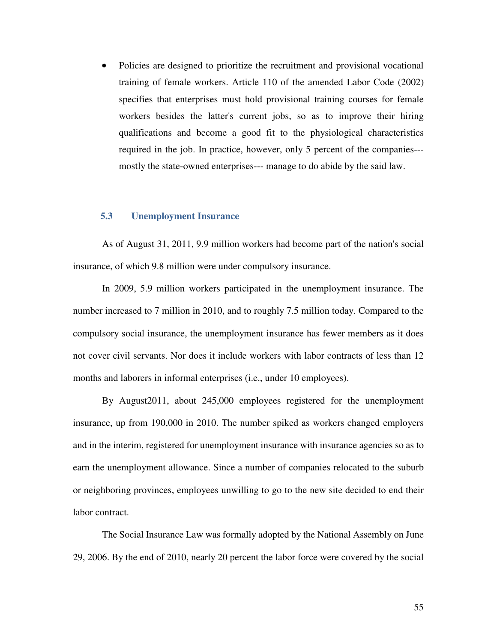Policies are designed to prioritize the recruitment and provisional vocational training of female workers. Article 110 of the amended Labor Code (2002) specifies that enterprises must hold provisional training courses for female workers besides the latter's current jobs, so as to improve their hiring qualifications and become a good fit to the physiological characteristics required in the job. In practice, however, only 5 percent of the companies-- mostly the state-owned enterprises--- manage to do abide by the said law.

#### **5.3 Unemployment Insurance**

As of August 31, 2011, 9.9 million workers had become part of the nation's social insurance, of which 9.8 million were under compulsory insurance.

In 2009, 5.9 million workers participated in the unemployment insurance. The number increased to 7 million in 2010, and to roughly 7.5 million today. Compared to the compulsory social insurance, the unemployment insurance has fewer members as it does not cover civil servants. Nor does it include workers with labor contracts of less than 12 months and laborers in informal enterprises (i.e., under 10 employees).

By August2011, about 245,000 employees registered for the unemployment insurance, up from 190,000 in 2010. The number spiked as workers changed employers and in the interim, registered for unemployment insurance with insurance agencies so as to earn the unemployment allowance. Since a number of companies relocated to the suburb or neighboring provinces, employees unwilling to go to the new site decided to end their labor contract.

The Social Insurance Law was formally adopted by the National Assembly on June 29, 2006. By the end of 2010, nearly 20 percent the labor force were covered by the social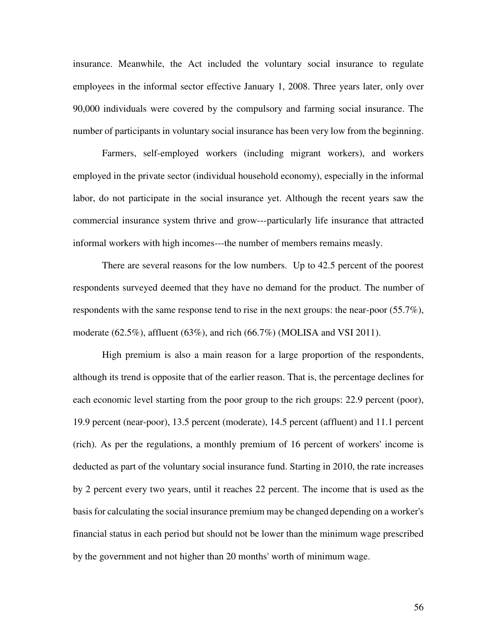insurance. Meanwhile, the Act included the voluntary social insurance to regulate employees in the informal sector effective January 1, 2008. Three years later, only over 90,000 individuals were covered by the compulsory and farming social insurance. The number of participants in voluntary social insurance has been very low from the beginning.

Farmers, self-employed workers (including migrant workers), and workers employed in the private sector (individual household economy), especially in the informal labor, do not participate in the social insurance yet. Although the recent years saw the commercial insurance system thrive and grow---particularly life insurance that attracted informal workers with high incomes---the number of members remains measly.

There are several reasons for the low numbers. Up to 42.5 percent of the poorest respondents surveyed deemed that they have no demand for the product. The number of respondents with the same response tend to rise in the next groups: the near-poor (55.7%), moderate (62.5%), affluent (63%), and rich (66.7%) (MOLISA and VSI 2011).

High premium is also a main reason for a large proportion of the respondents, although its trend is opposite that of the earlier reason. That is, the percentage declines for each economic level starting from the poor group to the rich groups: 22.9 percent (poor), 19.9 percent (near-poor), 13.5 percent (moderate), 14.5 percent (affluent) and 11.1 percent (rich). As per the regulations, a monthly premium of 16 percent of workers' income is deducted as part of the voluntary social insurance fund. Starting in 2010, the rate increases by 2 percent every two years, until it reaches 22 percent. The income that is used as the basis for calculating the social insurance premium may be changed depending on a worker's financial status in each period but should not be lower than the minimum wage prescribed by the government and not higher than 20 months' worth of minimum wage.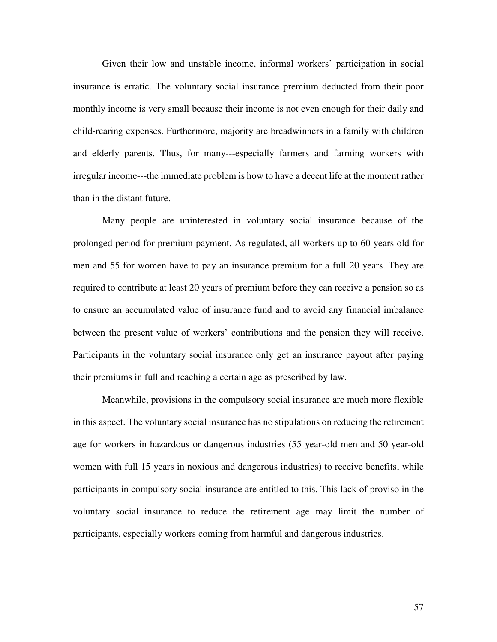Given their low and unstable income, informal workers' participation in social insurance is erratic. The voluntary social insurance premium deducted from their poor monthly income is very small because their income is not even enough for their daily and child-rearing expenses. Furthermore, majority are breadwinners in a family with children and elderly parents. Thus, for many---especially farmers and farming workers with irregular income---the immediate problem is how to have a decent life at the moment rather than in the distant future.

Many people are uninterested in voluntary social insurance because of the prolonged period for premium payment. As regulated, all workers up to 60 years old for men and 55 for women have to pay an insurance premium for a full 20 years. They are required to contribute at least 20 years of premium before they can receive a pension so as to ensure an accumulated value of insurance fund and to avoid any financial imbalance between the present value of workers' contributions and the pension they will receive. Participants in the voluntary social insurance only get an insurance payout after paying their premiums in full and reaching a certain age as prescribed by law.

Meanwhile, provisions in the compulsory social insurance are much more flexible in this aspect. The voluntary social insurance has no stipulations on reducing the retirement age for workers in hazardous or dangerous industries (55 year-old men and 50 year-old women with full 15 years in noxious and dangerous industries) to receive benefits, while participants in compulsory social insurance are entitled to this. This lack of proviso in the voluntary social insurance to reduce the retirement age may limit the number of participants, especially workers coming from harmful and dangerous industries.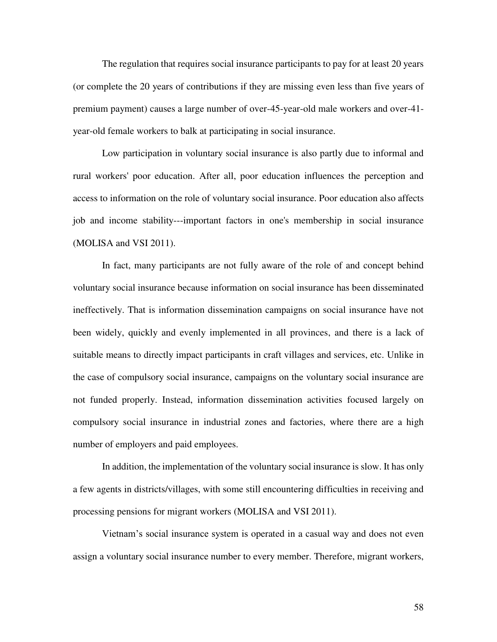The regulation that requires social insurance participants to pay for at least 20 years (or complete the 20 years of contributions if they are missing even less than five years of premium payment) causes a large number of over-45-year-old male workers and over-41 year-old female workers to balk at participating in social insurance.

Low participation in voluntary social insurance is also partly due to informal and rural workers' poor education. After all, poor education influences the perception and access to information on the role of voluntary social insurance. Poor education also affects job and income stability---important factors in one's membership in social insurance (MOLISA and VSI 2011).

In fact, many participants are not fully aware of the role of and concept behind voluntary social insurance because information on social insurance has been disseminated ineffectively. That is information dissemination campaigns on social insurance have not been widely, quickly and evenly implemented in all provinces, and there is a lack of suitable means to directly impact participants in craft villages and services, etc. Unlike in the case of compulsory social insurance, campaigns on the voluntary social insurance are not funded properly. Instead, information dissemination activities focused largely on compulsory social insurance in industrial zones and factories, where there are a high number of employers and paid employees.

In addition, the implementation of the voluntary social insurance is slow. It has only a few agents in districts/villages, with some still encountering difficulties in receiving and processing pensions for migrant workers (MOLISA and VSI 2011).

Vietnam's social insurance system is operated in a casual way and does not even assign a voluntary social insurance number to every member. Therefore, migrant workers,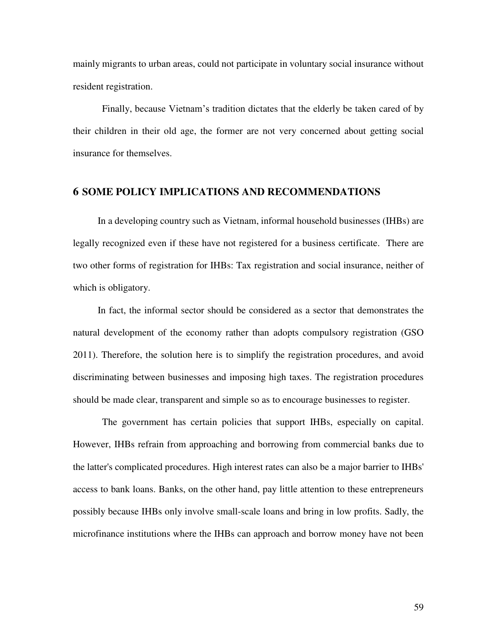mainly migrants to urban areas, could not participate in voluntary social insurance without resident registration.

Finally, because Vietnam's tradition dictates that the elderly be taken cared of by their children in their old age, the former are not very concerned about getting social insurance for themselves.

### **6 SOME POLICY IMPLICATIONS AND RECOMMENDATIONS**

In a developing country such as Vietnam, informal household businesses (IHBs) are legally recognized even if these have not registered for a business certificate. There are two other forms of registration for IHBs: Tax registration and social insurance, neither of which is obligatory.

In fact, the informal sector should be considered as a sector that demonstrates the natural development of the economy rather than adopts compulsory registration (GSO 2011). Therefore, the solution here is to simplify the registration procedures, and avoid discriminating between businesses and imposing high taxes. The registration procedures should be made clear, transparent and simple so as to encourage businesses to register.

The government has certain policies that support IHBs, especially on capital. However, IHBs refrain from approaching and borrowing from commercial banks due to the latter's complicated procedures. High interest rates can also be a major barrier to IHBs' access to bank loans. Banks, on the other hand, pay little attention to these entrepreneurs possibly because IHBs only involve small-scale loans and bring in low profits. Sadly, the microfinance institutions where the IHBs can approach and borrow money have not been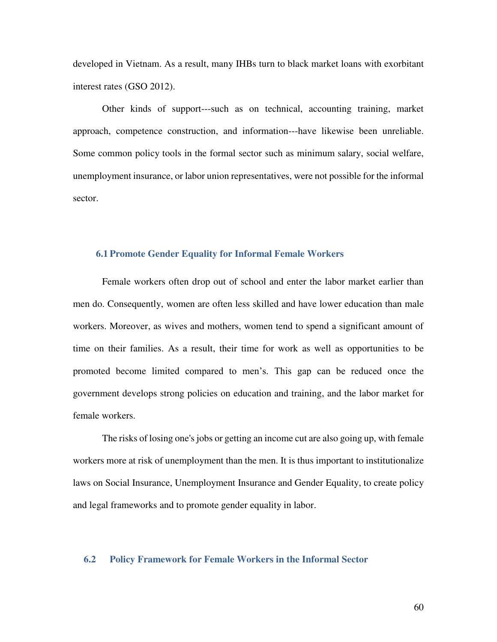developed in Vietnam. As a result, many IHBs turn to black market loans with exorbitant interest rates (GSO 2012).

Other kinds of support---such as on technical, accounting training, market approach, competence construction, and information---have likewise been unreliable. Some common policy tools in the formal sector such as minimum salary, social welfare, unemployment insurance, or labor union representatives, were not possible for the informal sector.

#### **6.1 Promote Gender Equality for Informal Female Workers**

Female workers often drop out of school and enter the labor market earlier than men do. Consequently, women are often less skilled and have lower education than male workers. Moreover, as wives and mothers, women tend to spend a significant amount of time on their families. As a result, their time for work as well as opportunities to be promoted become limited compared to men's. This gap can be reduced once the government develops strong policies on education and training, and the labor market for female workers.

The risks of losing one's jobs or getting an income cut are also going up, with female workers more at risk of unemployment than the men. It is thus important to institutionalize laws on Social Insurance, Unemployment Insurance and Gender Equality, to create policy and legal frameworks and to promote gender equality in labor.

#### **6.2 Policy Framework for Female Workers in the Informal Sector**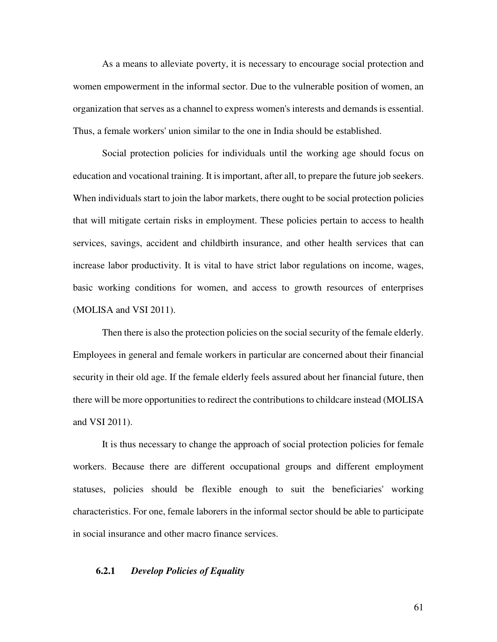As a means to alleviate poverty, it is necessary to encourage social protection and women empowerment in the informal sector. Due to the vulnerable position of women, an organization that serves as a channel to express women's interests and demands is essential. Thus, a female workers' union similar to the one in India should be established.

Social protection policies for individuals until the working age should focus on education and vocational training. It is important, after all, to prepare the future job seekers. When individuals start to join the labor markets, there ought to be social protection policies that will mitigate certain risks in employment. These policies pertain to access to health services, savings, accident and childbirth insurance, and other health services that can increase labor productivity. It is vital to have strict labor regulations on income, wages, basic working conditions for women, and access to growth resources of enterprises (MOLISA and VSI 2011).

Then there is also the protection policies on the social security of the female elderly. Employees in general and female workers in particular are concerned about their financial security in their old age. If the female elderly feels assured about her financial future, then there will be more opportunities to redirect the contributions to childcare instead (MOLISA and VSI 2011).

It is thus necessary to change the approach of social protection policies for female workers. Because there are different occupational groups and different employment statuses, policies should be flexible enough to suit the beneficiaries' working characteristics. For one, female laborers in the informal sector should be able to participate in social insurance and other macro finance services.

## **6.2.1** *Develop Policies of Equality*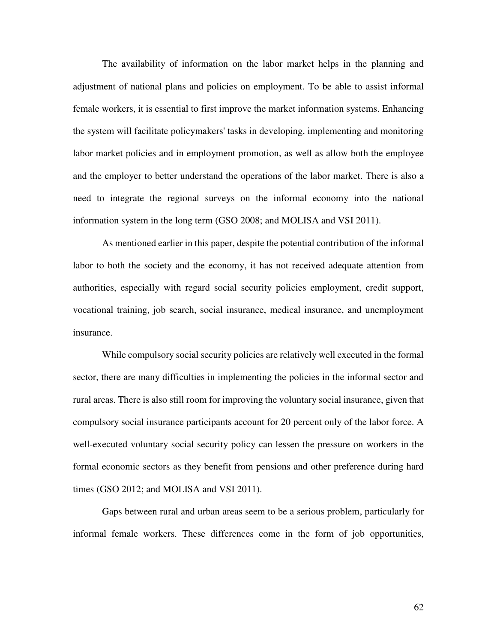The availability of information on the labor market helps in the planning and adjustment of national plans and policies on employment. To be able to assist informal female workers, it is essential to first improve the market information systems. Enhancing the system will facilitate policymakers' tasks in developing, implementing and monitoring labor market policies and in employment promotion, as well as allow both the employee and the employer to better understand the operations of the labor market. There is also a need to integrate the regional surveys on the informal economy into the national information system in the long term (GSO 2008; and MOLISA and VSI 2011).

As mentioned earlier in this paper, despite the potential contribution of the informal labor to both the society and the economy, it has not received adequate attention from authorities, especially with regard social security policies employment, credit support, vocational training, job search, social insurance, medical insurance, and unemployment insurance.

While compulsory social security policies are relatively well executed in the formal sector, there are many difficulties in implementing the policies in the informal sector and rural areas. There is also still room for improving the voluntary social insurance, given that compulsory social insurance participants account for 20 percent only of the labor force. A well-executed voluntary social security policy can lessen the pressure on workers in the formal economic sectors as they benefit from pensions and other preference during hard times (GSO 2012; and MOLISA and VSI 2011).

Gaps between rural and urban areas seem to be a serious problem, particularly for informal female workers. These differences come in the form of job opportunities,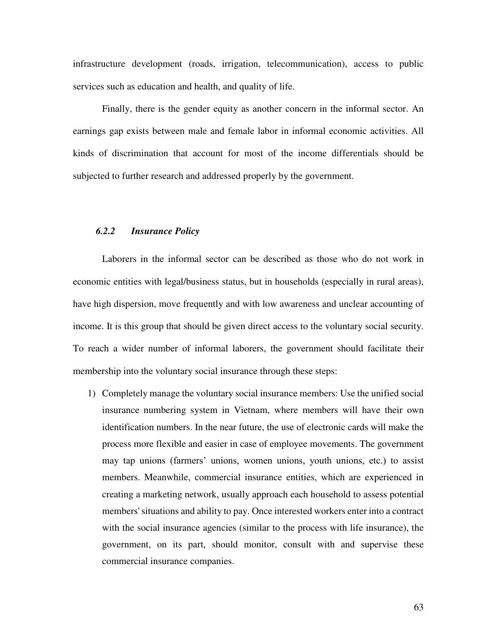infrastructure development (roads, irrigation, telecommunication), access to public services such as education and health, and quality of life.

Finally, there is the gender equity as another concern in the informal sector. An earnings gap exists between male and female labor in informal economic activities. All kinds of discrimination that account for most of the income differentials should be subjected to further research and addressed properly by the government.

#### *6.2.2 Insurance Policy*

Laborers in the informal sector can be described as those who do not work in economic entities with legal/business status, but in households (especially in rural areas), have high dispersion, move frequently and with low awareness and unclear accounting of income. It is this group that should be given direct access to the voluntary social security. To reach a wider number of informal laborers, the government should facilitate their membership into the voluntary social insurance through these steps:

1) Completely manage the voluntary social insurance members: Use the unified social insurance numbering system in Vietnam, where members will have their own identification numbers. In the near future, the use of electronic cards will make the process more flexible and easier in case of employee movements. The government may tap unions (farmers' unions, women unions, youth unions, etc.) to assist members. Meanwhile, commercial insurance entities, which are experienced in creating a marketing network, usually approach each household to assess potential members' situations and ability to pay. Once interested workers enter into a contract with the social insurance agencies (similar to the process with life insurance), the government, on its part, should monitor, consult with and supervise these commercial insurance companies.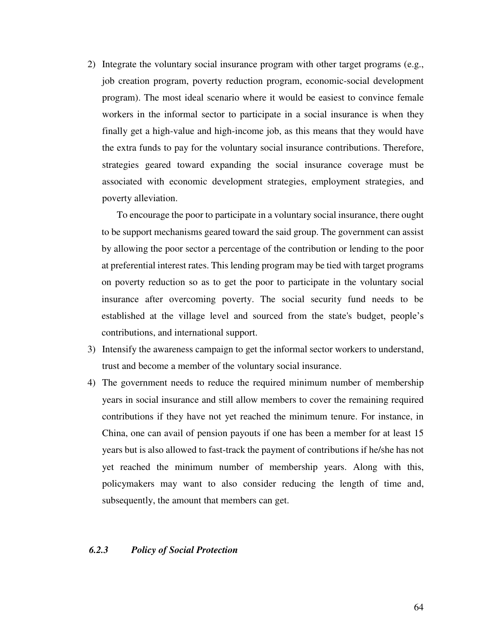2) Integrate the voluntary social insurance program with other target programs (e.g., job creation program, poverty reduction program, economic-social development program). The most ideal scenario where it would be easiest to convince female workers in the informal sector to participate in a social insurance is when they finally get a high-value and high-income job, as this means that they would have the extra funds to pay for the voluntary social insurance contributions. Therefore, strategies geared toward expanding the social insurance coverage must be associated with economic development strategies, employment strategies, and poverty alleviation.

To encourage the poor to participate in a voluntary social insurance, there ought to be support mechanisms geared toward the said group. The government can assist by allowing the poor sector a percentage of the contribution or lending to the poor at preferential interest rates. This lending program may be tied with target programs on poverty reduction so as to get the poor to participate in the voluntary social insurance after overcoming poverty. The social security fund needs to be established at the village level and sourced from the state's budget, people's contributions, and international support.

- 3) Intensify the awareness campaign to get the informal sector workers to understand, trust and become a member of the voluntary social insurance.
- 4) The government needs to reduce the required minimum number of membership years in social insurance and still allow members to cover the remaining required contributions if they have not yet reached the minimum tenure. For instance, in China, one can avail of pension payouts if one has been a member for at least 15 years but is also allowed to fast-track the payment of contributions if he/she has not yet reached the minimum number of membership years. Along with this, policymakers may want to also consider reducing the length of time and, subsequently, the amount that members can get.

#### *6.2.3 Policy of Social Protection*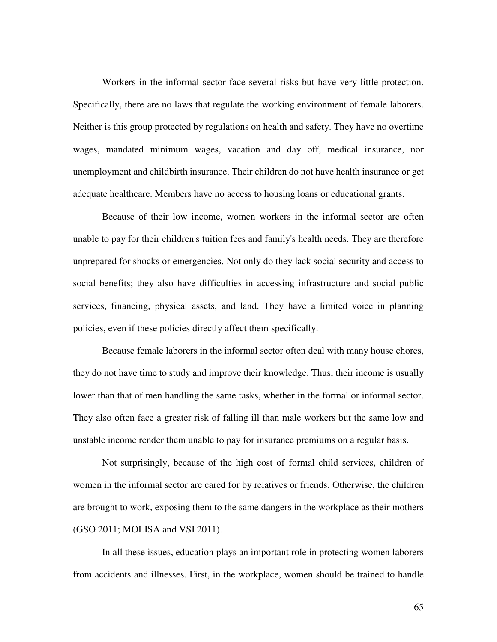Workers in the informal sector face several risks but have very little protection. Specifically, there are no laws that regulate the working environment of female laborers. Neither is this group protected by regulations on health and safety. They have no overtime wages, mandated minimum wages, vacation and day off, medical insurance, nor unemployment and childbirth insurance. Their children do not have health insurance or get adequate healthcare. Members have no access to housing loans or educational grants.

Because of their low income, women workers in the informal sector are often unable to pay for their children's tuition fees and family's health needs. They are therefore unprepared for shocks or emergencies. Not only do they lack social security and access to social benefits; they also have difficulties in accessing infrastructure and social public services, financing, physical assets, and land. They have a limited voice in planning policies, even if these policies directly affect them specifically.

Because female laborers in the informal sector often deal with many house chores, they do not have time to study and improve their knowledge. Thus, their income is usually lower than that of men handling the same tasks, whether in the formal or informal sector. They also often face a greater risk of falling ill than male workers but the same low and unstable income render them unable to pay for insurance premiums on a regular basis.

Not surprisingly, because of the high cost of formal child services, children of women in the informal sector are cared for by relatives or friends. Otherwise, the children are brought to work, exposing them to the same dangers in the workplace as their mothers (GSO 2011; MOLISA and VSI 2011).

In all these issues, education plays an important role in protecting women laborers from accidents and illnesses. First, in the workplace, women should be trained to handle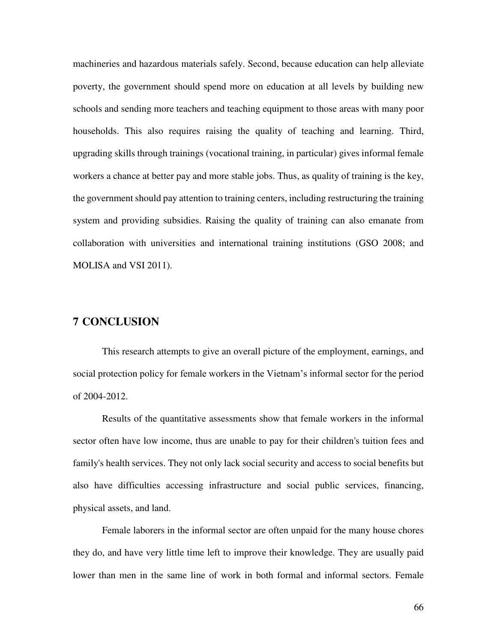machineries and hazardous materials safely. Second, because education can help alleviate poverty, the government should spend more on education at all levels by building new schools and sending more teachers and teaching equipment to those areas with many poor households. This also requires raising the quality of teaching and learning. Third, upgrading skills through trainings (vocational training, in particular) gives informal female workers a chance at better pay and more stable jobs. Thus, as quality of training is the key, the government should pay attention to training centers, including restructuring the training system and providing subsidies. Raising the quality of training can also emanate from collaboration with universities and international training institutions (GSO 2008; and MOLISA and VSI 2011).

# **7 CONCLUSION**

This research attempts to give an overall picture of the employment, earnings, and social protection policy for female workers in the Vietnam's informal sector for the period of 2004-2012.

Results of the quantitative assessments show that female workers in the informal sector often have low income, thus are unable to pay for their children's tuition fees and family's health services. They not only lack social security and access to social benefits but also have difficulties accessing infrastructure and social public services, financing, physical assets, and land.

Female laborers in the informal sector are often unpaid for the many house chores they do, and have very little time left to improve their knowledge. They are usually paid lower than men in the same line of work in both formal and informal sectors. Female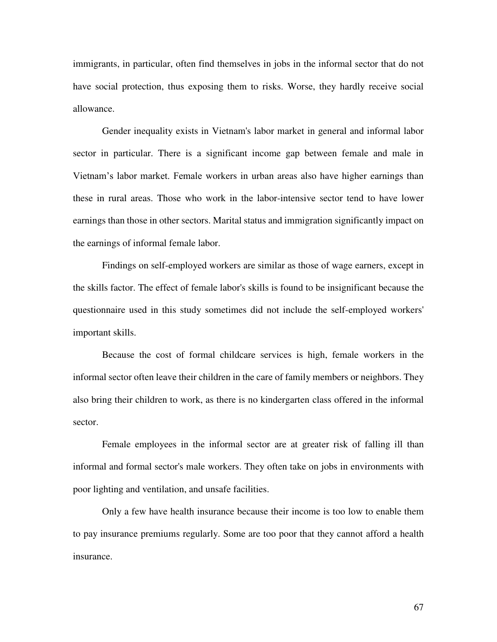immigrants, in particular, often find themselves in jobs in the informal sector that do not have social protection, thus exposing them to risks. Worse, they hardly receive social allowance.

Gender inequality exists in Vietnam's labor market in general and informal labor sector in particular. There is a significant income gap between female and male in Vietnam's labor market. Female workers in urban areas also have higher earnings than these in rural areas. Those who work in the labor-intensive sector tend to have lower earnings than those in other sectors. Marital status and immigration significantly impact on the earnings of informal female labor.

Findings on self-employed workers are similar as those of wage earners, except in the skills factor. The effect of female labor's skills is found to be insignificant because the questionnaire used in this study sometimes did not include the self-employed workers' important skills.

Because the cost of formal childcare services is high, female workers in the informal sector often leave their children in the care of family members or neighbors. They also bring their children to work, as there is no kindergarten class offered in the informal sector.

Female employees in the informal sector are at greater risk of falling ill than informal and formal sector's male workers. They often take on jobs in environments with poor lighting and ventilation, and unsafe facilities.

Only a few have health insurance because their income is too low to enable them to pay insurance premiums regularly. Some are too poor that they cannot afford a health insurance.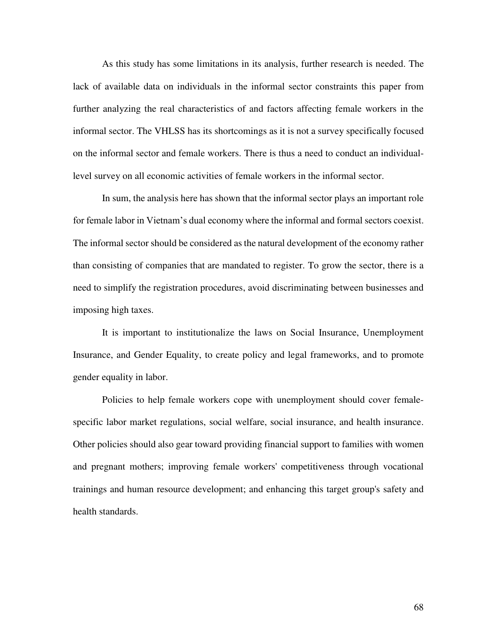As this study has some limitations in its analysis, further research is needed. The lack of available data on individuals in the informal sector constraints this paper from further analyzing the real characteristics of and factors affecting female workers in the informal sector. The VHLSS has its shortcomings as it is not a survey specifically focused on the informal sector and female workers. There is thus a need to conduct an individuallevel survey on all economic activities of female workers in the informal sector.

In sum, the analysis here has shown that the informal sector plays an important role for female labor in Vietnam's dual economy where the informal and formal sectors coexist. The informal sector should be considered as the natural development of the economy rather than consisting of companies that are mandated to register. To grow the sector, there is a need to simplify the registration procedures, avoid discriminating between businesses and imposing high taxes.

It is important to institutionalize the laws on Social Insurance, Unemployment Insurance, and Gender Equality, to create policy and legal frameworks, and to promote gender equality in labor.

Policies to help female workers cope with unemployment should cover femalespecific labor market regulations, social welfare, social insurance, and health insurance. Other policies should also gear toward providing financial support to families with women and pregnant mothers; improving female workers' competitiveness through vocational trainings and human resource development; and enhancing this target group's safety and health standards.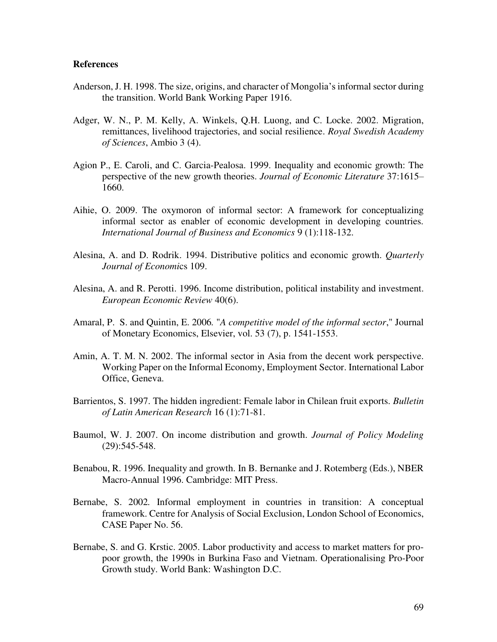#### **References**

- Anderson, J. H. 1998. The size, origins, and character of Mongolia's informal sector during the transition. World Bank Working Paper 1916.
- Adger, W. N., P. M. Kelly, A. Winkels, Q.H. Luong, and C. Locke. 2002. Migration, remittances, livelihood trajectories, and social resilience. *Royal Swedish Academy of Sciences*, Ambio 3 (4).
- Agion P., E. Caroli, and C. Garcia-Pealosa. 1999. Inequality and economic growth: The perspective of the new growth theories. *Journal of Economic Literature* 37:1615– 1660.
- Aihie, O. 2009. The oxymoron of informal sector: A framework for conceptualizing informal sector as enabler of economic development in developing countries*. International Journal of Business and Economics* 9 (1):118-132.
- Alesina, A. and D. Rodrik. 1994. Distributive politics and economic growth. *Quarterly Journal of Economi*cs 109.
- Alesina, A. and R. Perotti. 1996. Income distribution, political instability and investment. *European Economic Review* 40(6).
- Amaral, P. S. and Quintin, E. 2006*.* "*A competitive model of the informal sector*," Journal of Monetary Economics, Elsevier, vol. 53 (7), p. 1541-1553.
- Amin, A. T. M. N. 2002. The informal sector in Asia from the decent work perspective. Working Paper on the Informal Economy, Employment Sector. International Labor Office, Geneva.
- Barrientos, S. 1997. The hidden ingredient: Female labor in Chilean fruit exports. *Bulletin of Latin American Research* 16 (1):71-81.
- Baumol, W. J. 2007. On income distribution and growth. *Journal of Policy Modeling* (29):545-548.
- Benabou, R. 1996. Inequality and growth. In B. Bernanke and J. Rotemberg (Eds.), NBER Macro-Annual 1996. Cambridge: MIT Press.
- Bernabe, S. 2002*.* Informal employment in countries in transition: A conceptual framework. Centre for Analysis of Social Exclusion, London School of Economics, CASE Paper No. 56.
- Bernabe, S. and G. Krstic. 2005. Labor productivity and access to market matters for propoor growth, the 1990s in Burkina Faso and Vietnam. Operationalising Pro-Poor Growth study. World Bank: Washington D.C.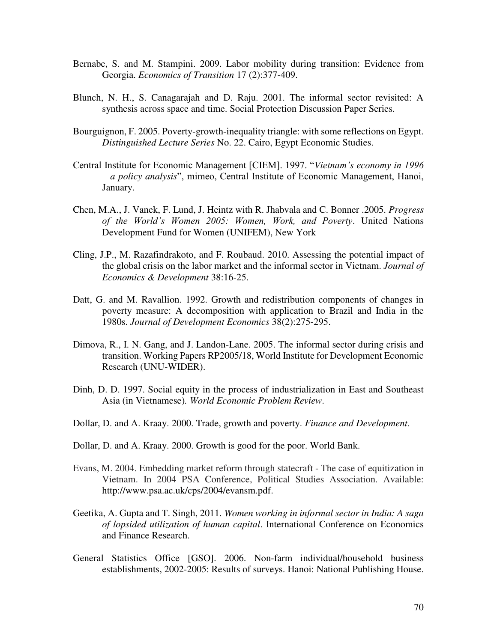- Bernabe, S. and M. Stampini. 2009. Labor mobility during transition: Evidence from Georgia. *Economics of Transition* 17 (2):377-409.
- Blunch, N. H., S. Canagarajah and D. Raju. 2001. The informal sector revisited: A synthesis across space and time. Social Protection Discussion Paper Series.
- Bourguignon, F. 2005. Poverty-growth-inequality triangle: with some reflections on Egypt. *Distinguished Lecture Series* No. 22. Cairo, Egypt Economic Studies.
- Central Institute for Economic Management [CIEM]. 1997. "*Vietnam's economy in 1996 – a policy analysis*", mimeo, Central Institute of Economic Management, Hanoi, January.
- Chen, M.A., J. Vanek, F. Lund, J. Heintz with R. Jhabvala and C. Bonner .2005. *Progress of the World's Women 2005: Women, Work, and Poverty*. United Nations Development Fund for Women (UNIFEM), New York
- Cling, J.P., M. Razafindrakoto, and F. Roubaud. 2010. Assessing the potential impact of the global crisis on the labor market and the informal sector in Vietnam. *Journal of Economics & Development* 38:16-25.
- Datt, G. and M. Ravallion. 1992. Growth and redistribution components of changes in poverty measure: A decomposition with application to Brazil and India in the 1980s. *Journal of Development Economics* 38(2):275-295.
- Dimova, R., I. N. Gang, and J. Landon-Lane. 2005. The informal sector during crisis and transition. Working Papers RP2005/18, World Institute for Development Economic Research (UNU-WIDER).
- Dinh, D. D. 1997. Social equity in the process of industrialization in East and Southeast Asia (in Vietnamese)*. World Economic Problem Review*.
- Dollar, D. and A. Kraay. 2000. Trade, growth and poverty. *Finance and Development*.
- Dollar, D. and A. Kraay. 2000. Growth is good for the poor. World Bank.
- Evans, M. 2004. Embedding market reform through statecraft The case of equitization in Vietnam. In 2004 PSA Conference, Political Studies Association. Available: http://www.psa.ac.uk/cps/2004/evansm.pdf.
- Geetika, A. Gupta and T. Singh, 2011. *Women working in informal sector in India: A saga of lopsided utilization of human capital*. International Conference on Economics and Finance Research.
- General Statistics Office [GSO]. 2006. Non-farm individual/household business establishments, 2002-2005: Results of surveys. Hanoi: National Publishing House.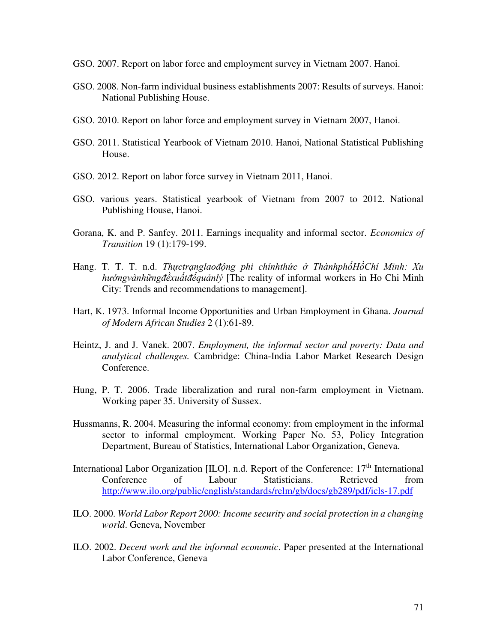- GSO. 2007. Report on labor force and employment survey in Vietnam 2007. Hanoi.
- GSO. 2008. Non-farm individual business establishments 2007: Results of surveys. Hanoi: National Publishing House.
- GSO. 2010. Report on labor force and employment survey in Vietnam 2007, Hanoi.
- GSO. 2011. Statistical Yearbook of Vietnam 2010. Hanoi, National Statistical Publishing House.
- GSO. 2012. Report on labor force survey in Vietnam 2011, Hanoi.
- GSO. various years. Statistical yearbook of Vietnam from 2007 to 2012. National Publishing House, Hanoi.
- Gorana, K. and P. Sanfey. 2011. Earnings inequality and informal sector. *Economics of Transition* 19 (1):179-199.
- Hang. T. T. T. n.d. *Thựctrạnglaođộng phi chínhthức ở ThànhphốHồChí Minh: Xu hướngvànhữngđềxuấtđểquảnlý* [The reality of informal workers in Ho Chi Minh City: Trends and recommendations to management].
- Hart, K. 1973. Informal Income Opportunities and Urban Employment in Ghana. *Journal of Modern African Studies* 2 (1):61-89.
- Heintz, J. and J. Vanek. 2007. *Employment, the informal sector and poverty: Data and analytical challenges.* Cambridge: China-India Labor Market Research Design Conference.
- Hung, P. T. 2006. Trade liberalization and rural non-farm employment in Vietnam. Working paper 35. University of Sussex.
- Hussmanns, R. 2004. Measuring the informal economy: from employment in the informal sector to informal employment. Working Paper No. 53, Policy Integration Department, Bureau of Statistics, International Labor Organization, Geneva.
- International Labor Organization [ILO]. n.d. Report of the Conference: 17<sup>th</sup> International Conference of Labour Statisticians. Retrieved from <http://www.ilo.org/public/english/standards/relm/gb/docs/gb289/pdf/icls-17.pdf>
- ILO. 2000. *World Labor Report 2000: Income security and social protection in a changing world*. Geneva, November
- ILO. 2002. *Decent work and the informal economic*. Paper presented at the International Labor Conference, Geneva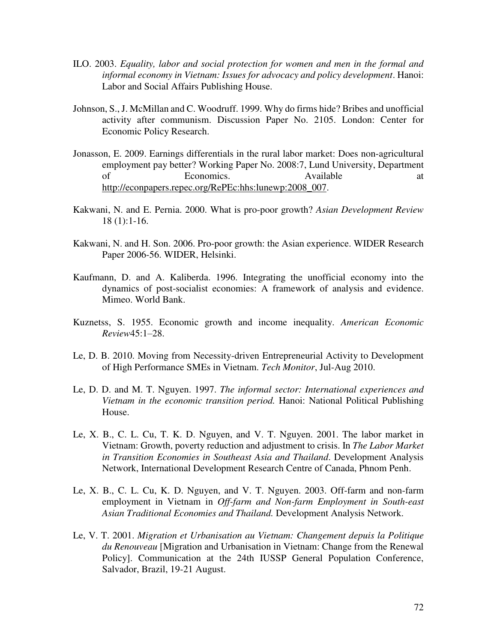- ILO. 2003. *Equality, labor and social protection for women and men in the formal and informal economy in Vietnam: Issues for advocacy and policy development*. Hanoi: Labor and Social Affairs Publishing House.
- Johnson, S., J. McMillan and C. Woodruff. 1999. Why do firms hide? Bribes and unofficial activity after communism. Discussion Paper No. 2105. London: Center for Economic Policy Research.
- Jonasson, E. 2009. Earnings differentials in the rural labor market: Does non-agricultural employment pay better? Working Paper No. 2008:7, Lund University, Department of Economics. Available at [http://econpapers.repec.org/RePEc:hhs:lunewp:2008\\_007.](http://econpapers.repec.org/RePEc:hhs:lunewp:2008_007)
- Kakwani, N. and E. Pernia. 2000. What is pro-poor growth? *Asian Development Review* 18 (1):1-16.
- Kakwani, N. and H. Son. 2006. Pro-poor growth: the Asian experience. WIDER Research Paper 2006-56. WIDER, Helsinki.
- Kaufmann, D. and A. Kaliberda. 1996. Integrating the unofficial economy into the dynamics of post-socialist economies: A framework of analysis and evidence. Mimeo. World Bank.
- Kuznetss, S. 1955. Economic growth and income inequality. *American Economic Review*45:1–28.
- Le, D. B. 2010. Moving from Necessity-driven Entrepreneurial Activity to Development of High Performance SMEs in Vietnam. *Tech Monitor*, Jul-Aug 2010.
- Le, D. D. and M. T. Nguyen. 1997. *The informal sector: International experiences and Vietnam in the economic transition period.* Hanoi: National Political Publishing House.
- Le, X. B., C. L. Cu, T. K. D. Nguyen, and V. T. Nguyen. 2001. The labor market in Vietnam: Growth, poverty reduction and adjustment to crisis. In *The Labor Market in Transition Economies in Southeast Asia and Thailand*. Development Analysis Network, International Development Research Centre of Canada, Phnom Penh.
- Le, X. B., C. L. Cu, K. D. Nguyen, and V. T. Nguyen. 2003. Off-farm and non-farm employment in Vietnam in *Off-farm and Non-farm Employment in South-east Asian Traditional Economies and Thailand.* Development Analysis Network.
- Le, V. T. 2001. *Migration et Urbanisation au Vietnam: Changement depuis la Politique du Renouveau* [Migration and Urbanisation in Vietnam: Change from the Renewal Policy]. Communication at the 24th IUSSP General Population Conference, Salvador, Brazil, 19-21 August.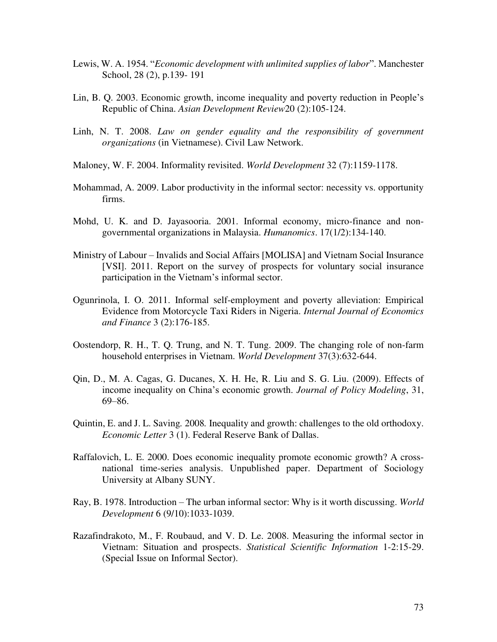- Lewis, W. A. 1954. "*Economic development with unlimited supplies of labor*". Manchester School, 28 (2), p.139- 191
- Lin, B. Q. 2003. Economic growth, income inequality and poverty reduction in People's Republic of China. *Asian Development Review*20 (2):105-124.
- Linh, N. T. 2008. *Law on gender equality and the responsibility of government organizations* (in Vietnamese). Civil Law Network.
- Maloney, W. F. 2004. Informality revisited. *World Development* 32 (7):1159-1178.
- Mohammad, A. 2009. Labor productivity in the informal sector: necessity vs. opportunity firms.
- Mohd, U. K. and D. Jayasooria. 2001. Informal economy, micro-finance and nongovernmental organizations in Malaysia. *Humanomics*. 17(1/2):134-140.
- Ministry of Labour Invalids and Social Affairs [MOLISA] and Vietnam Social Insurance [VSI]. 2011. Report on the survey of prospects for voluntary social insurance participation in the Vietnam's informal sector.
- Ogunrinola, I. O. 2011. Informal self-employment and poverty alleviation: Empirical Evidence from Motorcycle Taxi Riders in Nigeria. *Internal Journal of Economics and Finance* 3 (2):176-185.
- Oostendorp, R. H., T. Q. Trung, and N. T. Tung. 2009. The changing role of non-farm household enterprises in Vietnam. *World Development* 37(3):632-644.
- Qin, D., M. A. Cagas, G. Ducanes, X. H. He, R. Liu and S. G. Liu. (2009). Effects of income inequality on China's economic growth. *Journal of Policy Modeling*, 31, 69–86.
- Quintin, E. and J. L. Saving*.* 2008*.* Inequality and growth: challenges to the old orthodoxy. *Economic Letter* 3 (1). Federal Reserve Bank of Dallas.
- Raffalovich, L. E. 2000. Does economic inequality promote economic growth? A crossnational time-series analysis. Unpublished paper. Department of Sociology University at Albany SUNY.
- Ray, B. 1978. Introduction The urban informal sector: Why is it worth discussing. *World Development* 6 (9/10):1033-1039.
- Razafindrakoto, M., F. Roubaud, and V. D. Le. 2008. Measuring the informal sector in Vietnam: Situation and prospects. *Statistical Scientific Information* 1-2:15-29. (Special Issue on Informal Sector).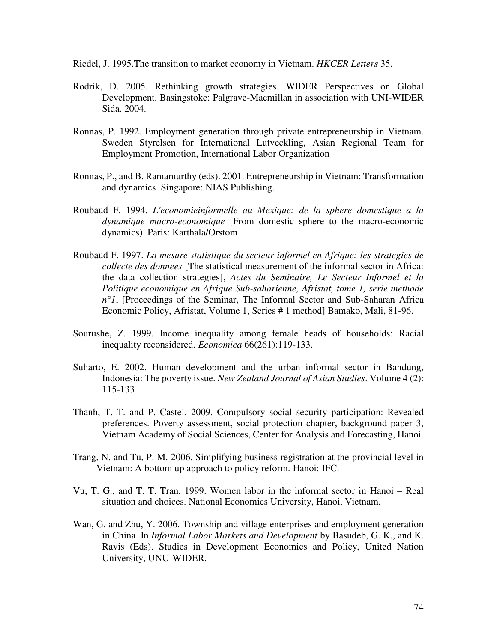Riedel, J. 1995.The transition to market economy in Vietnam. *HKCER Letters* 35.

- Rodrik, D. 2005. Rethinking growth strategies. WIDER Perspectives on Global Development. Basingstoke: Palgrave-Macmillan in association with UNI-WIDER Sida. 2004.
- Ronnas, P. 1992. Employment generation through private entrepreneurship in Vietnam. Sweden Styrelsen for International Lutveckling, Asian Regional Team for Employment Promotion, International Labor Organization
- Ronnas, P., and B. Ramamurthy (eds). 2001. Entrepreneurship in Vietnam: Transformation and dynamics. Singapore: NIAS Publishing.
- Roubaud F. 1994. *L'economieinformelle au Mexique: de la sphere domestique a la dynamique macro-economique* [From domestic sphere to the macro-economic dynamics). Paris: Karthala/Orstom
- Roubaud F. 1997. *La mesure statistique du secteur informel en Afrique: les strategies de collecte des donnees* [The statistical measurement of the informal sector in Africa: the data collection strategies], *Actes du Seminaire, Le Secteur Informel et la Politique economique en Afrique Sub-saharienne, Afristat, tome 1, serie methode n°1*, [Proceedings of the Seminar, The Informal Sector and Sub-Saharan Africa Economic Policy, Afristat, Volume 1, Series # 1 method] Bamako, Mali, 81-96.
- Sourushe, Z. 1999. Income inequality among female heads of households: Racial inequality reconsidered. *Economica* 66(261):119-133.
- Suharto, E. 2002. Human development and the urban informal sector in Bandung, Indonesia: The poverty issue. *New Zealand Journal of Asian Studies*. Volume 4 (2): 115-133
- Thanh, T. T. and P. Castel. 2009. Compulsory social security participation: Revealed preferences. Poverty assessment, social protection chapter, background paper 3, Vietnam Academy of Social Sciences, Center for Analysis and Forecasting, Hanoi.
- Trang, N. and Tu, P. M. 2006. Simplifying business registration at the provincial level in Vietnam: A bottom up approach to policy reform. Hanoi: IFC.
- Vu, T. G., and T. T. Tran. 1999. Women labor in the informal sector in Hanoi Real situation and choices. National Economics University, Hanoi, Vietnam.
- Wan, G. and Zhu, Y. 2006. Township and village enterprises and employment generation in China. In *Informal Labor Markets and Development* by Basudeb, G. K., and K. Ravis (Eds). Studies in Development Economics and Policy, United Nation University, UNU-WIDER.